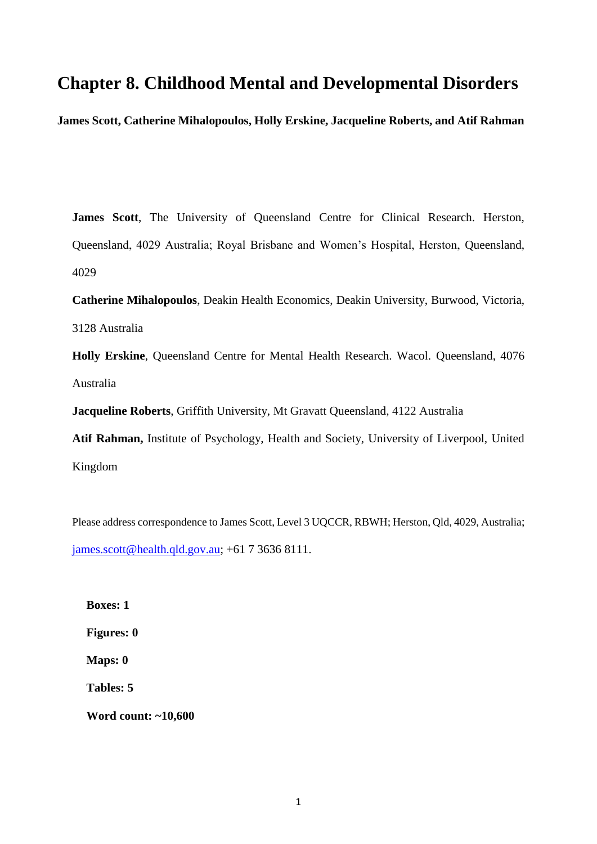# **Chapter 8. Childhood Mental and Developmental Disorders**

**James Scott, Catherine Mihalopoulos, Holly Erskine, Jacqueline Roberts, and Atif Rahman** 

**James Scott**, The University of Queensland Centre for Clinical Research. Herston, Queensland, 4029 Australia; Royal Brisbane and Women's Hospital, Herston, Queensland, 4029

**Catherine Mihalopoulos**, Deakin Health Economics, Deakin University, Burwood, Victoria, 3128 Australia

**Holly Erskine**, Queensland Centre for Mental Health Research. Wacol. Queensland, 4076 Australia

**Jacqueline Roberts**, Griffith University, Mt Gravatt Queensland, 4122 Australia

**Atif Rahman,** Institute of Psychology, Health and Society, University of Liverpool, United Kingdom

Please address correspondence to James Scott, Level 3 UQCCR, RBWH; Herston, Qld, 4029, Australia; [james.scott@health.qld.gov.au;](mailto:james.scott@health.qld.gov.au) +61 7 3636 8111.

**Boxes: 1 Figures: 0 Maps: 0 Tables: 5 Word count: ~10,600**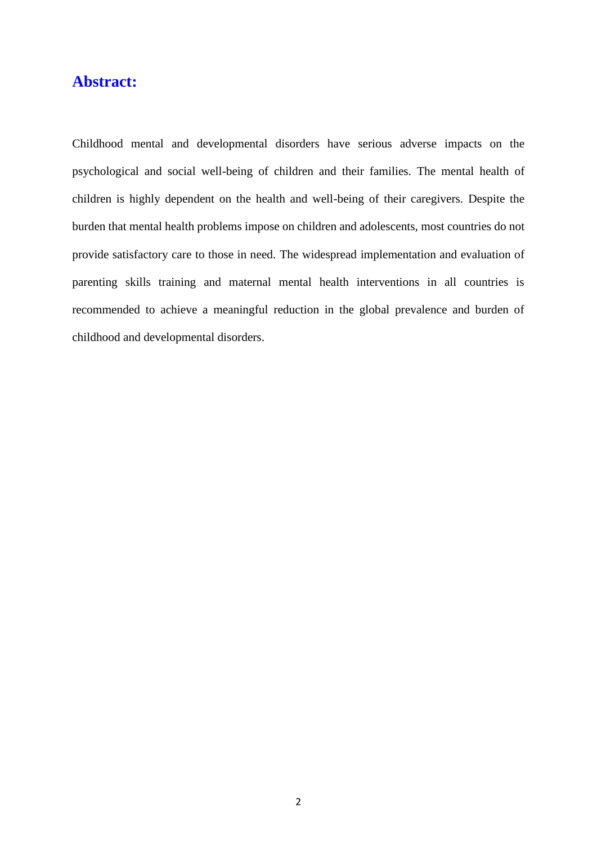# **Abstract:**

Childhood mental and developmental disorders have serious adverse impacts on the psychological and social well-being of children and their families. The mental health of children is highly dependent on the health and well-being of their caregivers. Despite the burden that mental health problems impose on children and adolescents, most countries do not provide satisfactory care to those in need. The widespread implementation and evaluation of parenting skills training and maternal mental health interventions in all countries is recommended to achieve a meaningful reduction in the global prevalence and burden of childhood and developmental disorders.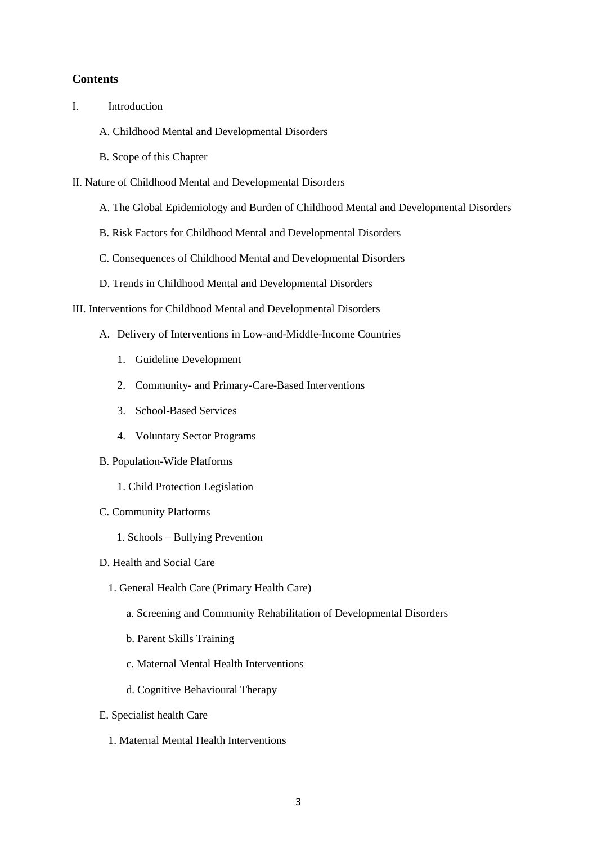#### **Contents**

- I. Introduction
	- A. Childhood Mental and Developmental Disorders
	- B. Scope of this Chapter
- II. Nature of Childhood Mental and Developmental Disorders
	- A. The Global Epidemiology and Burden of Childhood Mental and Developmental Disorders
	- B. Risk Factors for Childhood Mental and Developmental Disorders
	- C. Consequences of Childhood Mental and Developmental Disorders
	- D. Trends in Childhood Mental and Developmental Disorders
- III. Interventions for Childhood Mental and Developmental Disorders
	- A. Delivery of Interventions in Low-and-Middle-Income Countries
		- 1. Guideline Development
		- 2. Community- and Primary-Care-Based Interventions
		- 3. School-Based Services
		- 4. Voluntary Sector Programs
	- B. Population-Wide Platforms
		- 1. Child Protection Legislation
	- C. Community Platforms
		- 1. Schools Bullying Prevention
	- D. Health and Social Care
		- 1. General Health Care (Primary Health Care)
			- a. Screening and Community Rehabilitation of Developmental Disorders
			- b. Parent Skills Training
			- c. Maternal Mental Health Interventions
			- d. Cognitive Behavioural Therapy
	- E. Specialist health Care
		- 1. Maternal Mental Health Interventions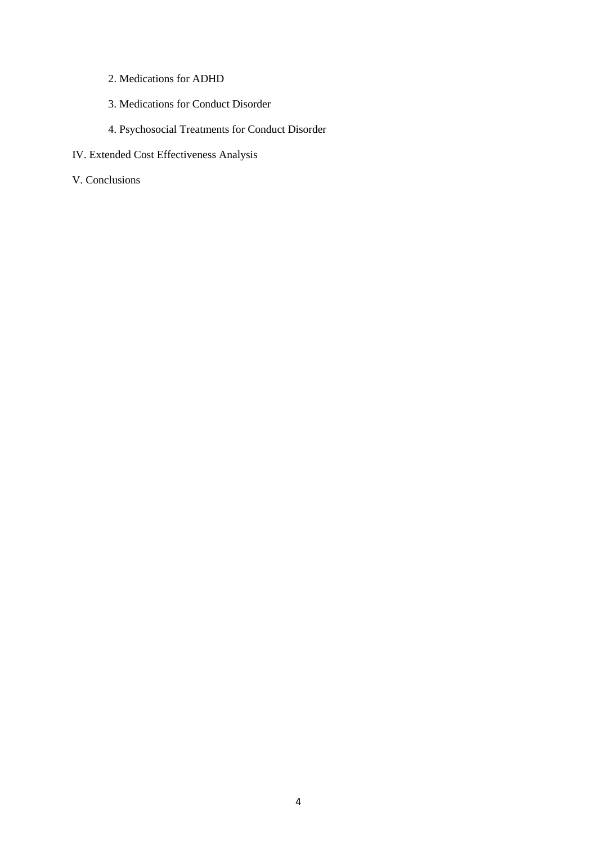- 2. Medications for ADHD
- 3. Medications for Conduct Disorder
- 4. Psychosocial Treatments for Conduct Disorder
- IV. Extended Cost Effectiveness Analysis
- V. Conclusions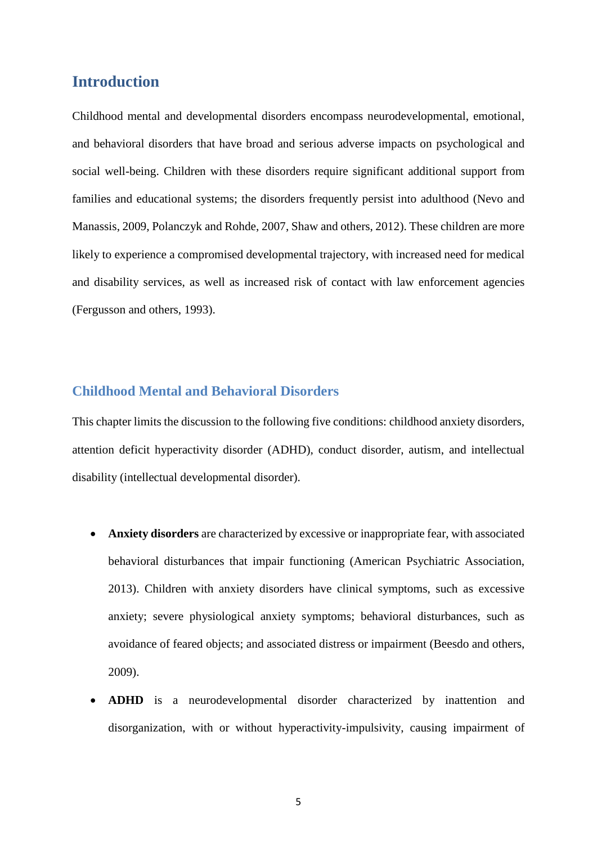## **Introduction**

Childhood mental and developmental disorders encompass neurodevelopmental, emotional, and behavioral disorders that have broad and serious adverse impacts on psychological and social well-being. Children with these disorders require significant additional support from families and educational systems; the disorders frequently persist into adulthood [\(Nevo and](#page-38-0)  [Manassis, 2009,](#page-38-0) [Polanczyk and Rohde, 2007,](#page-39-0) [Shaw and others, 2012\)](#page-40-0). These children are more likely to experience a compromised developmental trajectory, with increased need for medical and disability services, as well as increased risk of contact with law enforcement agencies [\(Fergusson and others, 1993\)](#page-33-0).

## **Childhood Mental and Behavioral Disorders**

This chapter limits the discussion to the following five conditions: childhood anxiety disorders, attention deficit hyperactivity disorder (ADHD), conduct disorder, autism, and intellectual disability (intellectual developmental disorder).

- **Anxiety disorders** are characterized by excessive or inappropriate fear, with associated behavioral disturbances that impair functioning [\(American Psychiatric Association,](#page-30-0)  [2013\)](#page-30-0). Children with anxiety disorders have clinical symptoms, such as excessive anxiety; severe physiological anxiety symptoms; behavioral disturbances, such as avoidance of feared objects; and associated distress or impairment [\(Beesdo and others,](#page-30-1)  [2009\)](#page-30-1).
- **ADHD** is a neurodevelopmental disorder characterized by inattention and disorganization, with or without hyperactivity-impulsivity, causing impairment of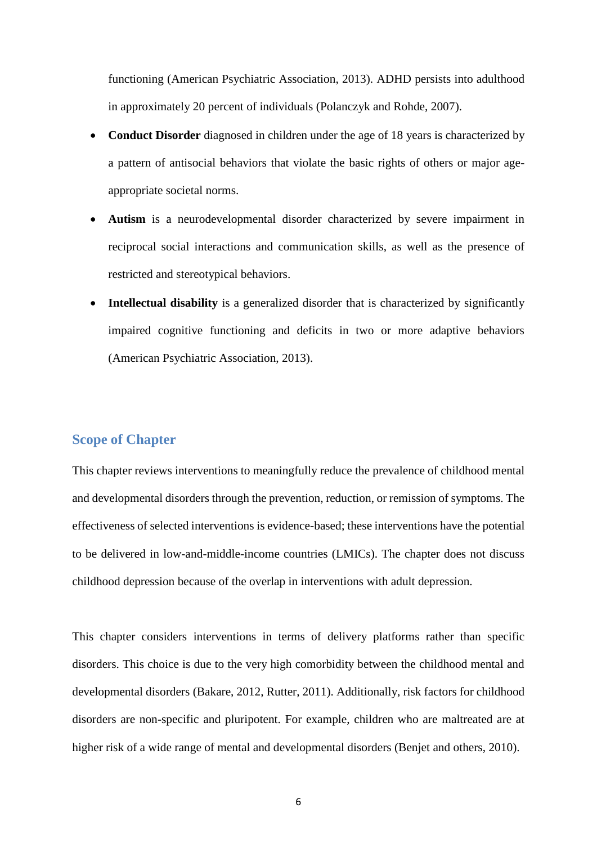functioning [\(American Psychiatric Association, 2013\)](#page-30-0). ADHD persists into adulthood in approximately 20 percent of individuals [\(Polanczyk and Rohde, 2007\)](#page-39-0).

- **Conduct Disorder** diagnosed in children under the age of 18 years is characterized by a pattern of antisocial behaviors that violate the basic rights of others or major ageappropriate societal norms.
- **Autism** is a neurodevelopmental disorder characterized by severe impairment in reciprocal social interactions and communication skills, as well as the presence of restricted and stereotypical behaviors.
- **Intellectual disability** is a generalized disorder that is characterized by significantly impaired cognitive functioning and deficits in two or more adaptive behaviors [\(American Psychiatric Association, 2013\)](#page-30-0).

## **Scope of Chapter**

This chapter reviews interventions to meaningfully reduce the prevalence of childhood mental and developmental disorders through the prevention, reduction, or remission of symptoms. The effectiveness of selected interventions is evidence-based; these interventions have the potential to be delivered in low-and-middle-income countries (LMICs). The chapter does not discuss childhood depression because of the overlap in interventions with adult depression.

This chapter considers interventions in terms of delivery platforms rather than specific disorders. This choice is due to the very high comorbidity between the childhood mental and developmental disorders [\(Bakare, 2012,](#page-30-2) [Rutter, 2011\)](#page-40-1). Additionally, risk factors for childhood disorders are non-specific and pluripotent. For example, children who are maltreated are at higher risk of a wide range of mental and developmental disorders [\(Benjet and others, 2010\)](#page-31-0).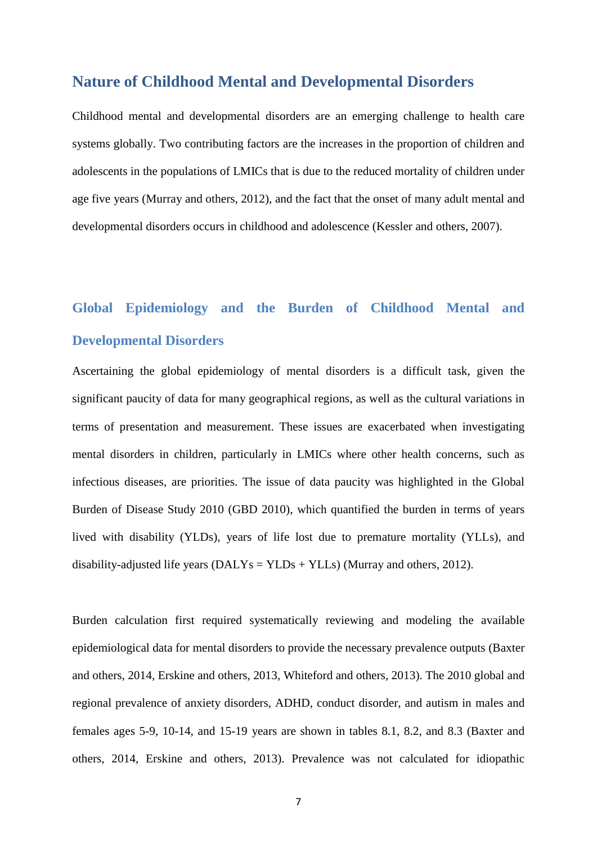## **Nature of Childhood Mental and Developmental Disorders**

Childhood mental and developmental disorders are an emerging challenge to health care systems globally. Two contributing factors are the increases in the proportion of children and adolescents in the populations of LMICs that is due to the reduced mortality of children under age five years (Murray and [others, 2012\)](#page-38-1), and the fact that the onset of many adult mental and developmental disorders occurs in childhood and adolescence [\(Kessler and others, 2007\)](#page-36-0).

# **Global Epidemiology and the Burden of Childhood Mental and Developmental Disorders**

Ascertaining the global epidemiology of mental disorders is a difficult task, given the significant paucity of data for many geographical regions, as well as the cultural variations in terms of presentation and measurement. These issues are exacerbated when investigating mental disorders in children, particularly in LMICs where other health concerns, such as infectious diseases, are priorities. The issue of data paucity was highlighted in the Global Burden of Disease Study 2010 (GBD 2010), which quantified the burden in terms of years lived with disability (YLDs), years of life lost due to premature mortality (YLLs), and disability-adjusted life years  $(DALYs = YLDs + YLLs)$  [\(Murray and others, 2012\)](#page-38-1).

Burden calculation first required systematically reviewing and modeling the available epidemiological data for mental disorders to provide the necessary prevalence outputs [\(Baxter](#page-30-3)  [and others, 2014,](#page-30-3) [Erskine and others, 2013,](#page-32-0) [Whiteford and others, 2013\)](#page-41-0). The 2010 global and regional prevalence of anxiety disorders, ADHD, conduct disorder, and autism in males and females ages 5-9, 10-14, and 15-19 years are shown in tables 8.1, 8.2, and 8.3 [\(Baxter and](#page-30-3)  [others, 2014,](#page-30-3) [Erskine and others, 2013\)](#page-32-0). Prevalence was not calculated for idiopathic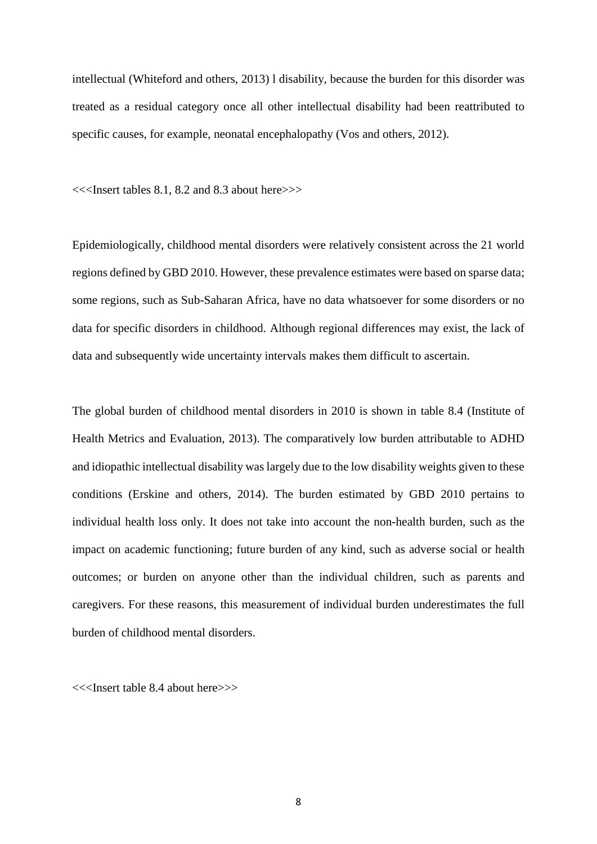intellectual [\(Whiteford and others, 2013\)](#page-41-0) l disability, because the burden for this disorder was treated as a residual category once all other intellectual disability had been reattributed to specific causes, for example, neonatal encephalopathy [\(Vos and others, 2012\)](#page-41-1).

<<<Insert tables 8.1, 8.2 and 8.3 about here>>>

Epidemiologically, childhood mental disorders were relatively consistent across the 21 world regions defined by GBD 2010. However, these prevalence estimates were based on sparse data; some regions, such as Sub-Saharan Africa, have no data whatsoever for some disorders or no data for specific disorders in childhood. Although regional differences may exist, the lack of data and subsequently wide uncertainty intervals makes them difficult to ascertain.

The global burden of childhood mental disorders in 2010 is shown in table 8.4 [\(Institute of](#page-35-0)  [Health Metrics and Evaluation, 2013\)](#page-35-0). The comparatively low burden attributable to ADHD and idiopathic intellectual disability was largely due to the low disability weights given to these conditions [\(Erskine and others, 2014\)](#page-33-1). The burden estimated by GBD 2010 pertains to individual health loss only. It does not take into account the non-health burden, such as the impact on academic functioning; future burden of any kind, such as adverse social or health outcomes; or burden on anyone other than the individual children, such as parents and caregivers. For these reasons, this measurement of individual burden underestimates the full burden of childhood mental disorders.

<<<Insert table 8.4 about here>>>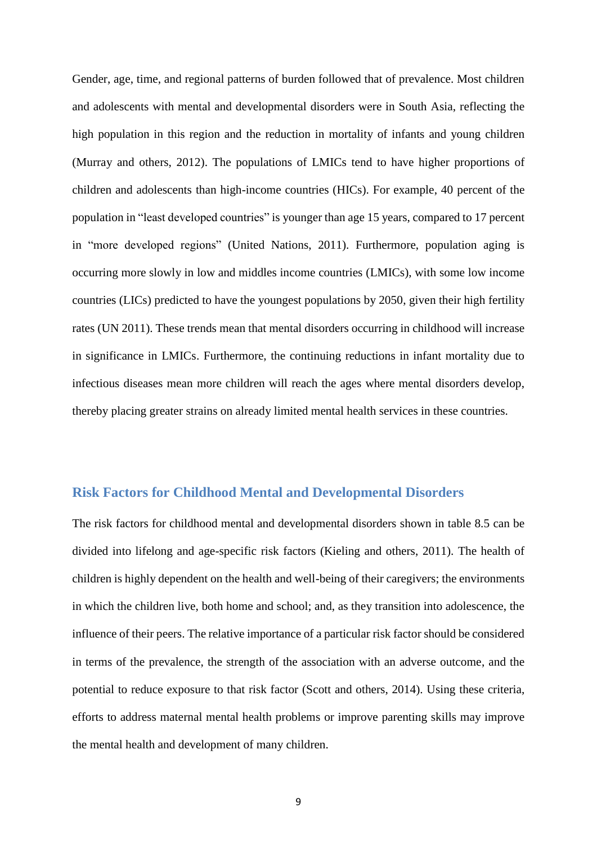Gender, age, time, and regional patterns of burden followed that of prevalence. Most children and adolescents with mental and developmental disorders were in South Asia, reflecting the high population in this region and the reduction in mortality of infants and young children [\(Murray and others, 2012\)](#page-38-1). The populations of LMICs tend to have higher proportions of children and adolescents than high-income countries (HICs). For example, 40 percent of the population in "least developed countries" is younger than age 15 years, compared to 17 percent in "more developed regions" [\(United Nations, 2011\)](#page-41-2). Furthermore, population aging is occurring more slowly in low and middles income countries (LMICs), with some low income countries (LICs) predicted to have the youngest populations by 2050, given their high fertility rates (UN 2011). These trends mean that mental disorders occurring in childhood will increase in significance in LMICs. Furthermore, the continuing reductions in infant mortality due to infectious diseases mean more children will reach the ages where mental disorders develop, thereby placing greater strains on already limited mental health services in these countries.

## **Risk Factors for Childhood Mental and Developmental Disorders**

The risk factors for childhood mental and developmental disorders shown in table 8.5 can be divided into lifelong and age-specific risk factors [\(Kieling and others, 2011\)](#page-36-1). The health of children is highly dependent on the health and well-being of their caregivers; the environments in which the children live, both home and school; and, as they transition into adolescence, the influence of their peers. The relative importance of a particular risk factor should be considered in terms of the prevalence, the strength of the association with an adverse outcome, and the potential to reduce exposure to that risk factor [\(Scott and others, 2014\)](#page-40-2). Using these criteria, efforts to address maternal mental health problems or improve parenting skills may improve the mental health and development of many children.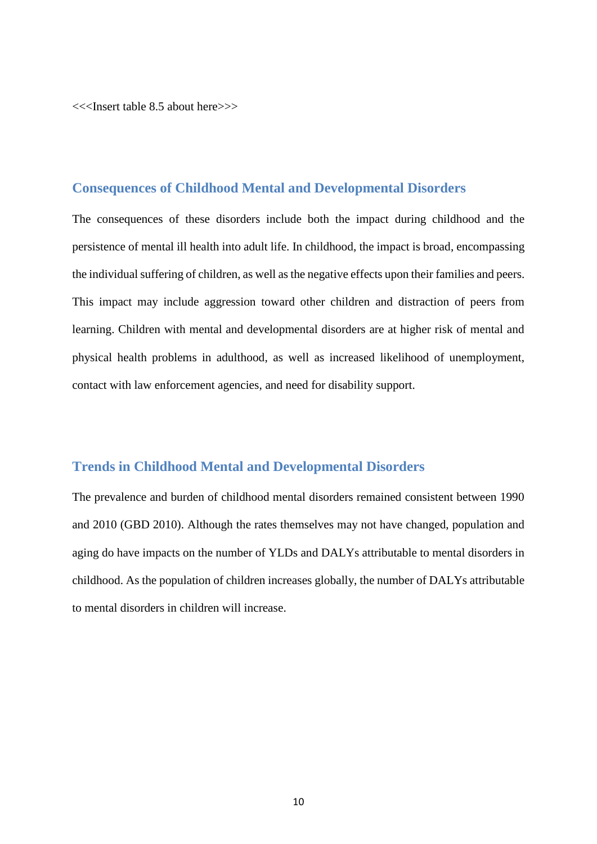<<<Insert table 8.5 about here>>>

#### **Consequences of Childhood Mental and Developmental Disorders**

The consequences of these disorders include both the impact during childhood and the persistence of mental ill health into adult life. In childhood, the impact is broad, encompassing the individual suffering of children, as well as the negative effects upon their families and peers. This impact may include aggression toward other children and distraction of peers from learning. Children with mental and developmental disorders are at higher risk of mental and physical health problems in adulthood, as well as increased likelihood of unemployment, contact with law enforcement agencies, and need for disability support.

## **Trends in Childhood Mental and Developmental Disorders**

The prevalence and burden of childhood mental disorders remained consistent between 1990 and 2010 (GBD 2010). Although the rates themselves may not have changed, population and aging do have impacts on the number of YLDs and DALYs attributable to mental disorders in childhood. As the population of children increases globally, the number of DALYs attributable to mental disorders in children will increase.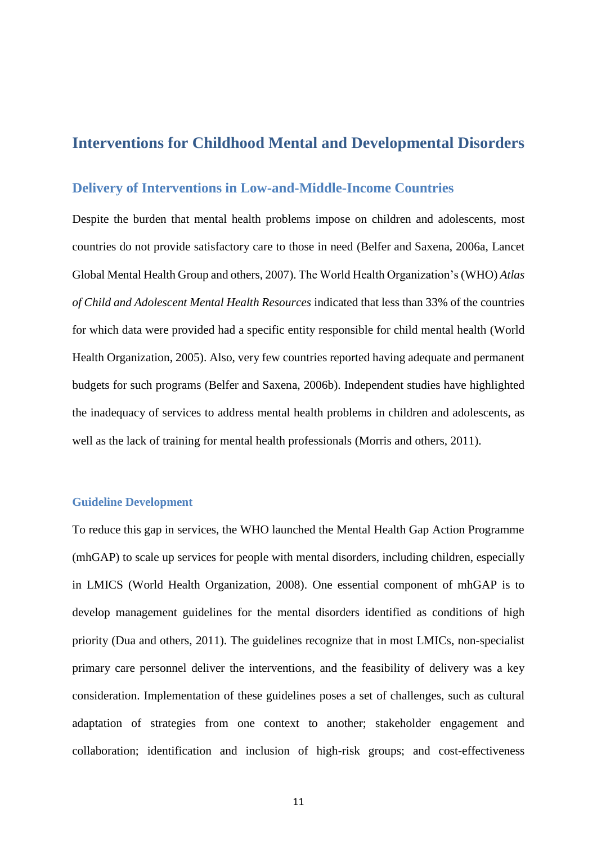# **Interventions for Childhood Mental and Developmental Disorders**

#### **Delivery of Interventions in Low-and-Middle-Income Countries**

Despite the burden that mental health problems impose on children and adolescents, most countries do not provide satisfactory care to those in need [\(Belfer and Saxena, 2006a,](#page-30-4) [Lancet](#page-36-2)  [Global Mental Health Group and others, 2007\)](#page-36-2). The World Health Organization's (WHO) *Atlas of Child and Adolescent Mental Health Resources* indicated that less than 33% of the countries for which data were provided had a specific entity responsible for child mental health [\(World](#page-41-3)  [Health Organization, 2005\)](#page-41-3). Also, very few countries reported having adequate and permanent budgets for such programs [\(Belfer and Saxena, 2006b\)](#page-31-1). Independent studies have highlighted the inadequacy of services to address mental health problems in children and adolescents, as well as the lack of training for mental health professionals [\(Morris and others, 2011\)](#page-37-0).

#### **Guideline Development**

To reduce this gap in services, the WHO launched the Mental Health Gap Action Programme (mhGAP) to scale up services for people with mental disorders, including children, especially in LMICS [\(World Health Organization, 2008\)](#page-42-0). One essential component of mhGAP is to develop management guidelines for the mental disorders identified as conditions of high priority [\(Dua and others, 2011\)](#page-32-1). The guidelines recognize that in most LMICs, non-specialist primary care personnel deliver the interventions, and the feasibility of delivery was a key consideration. Implementation of these guidelines poses a set of challenges, such as cultural adaptation of strategies from one context to another; stakeholder engagement and collaboration; identification and inclusion of high-risk groups; and cost-effectiveness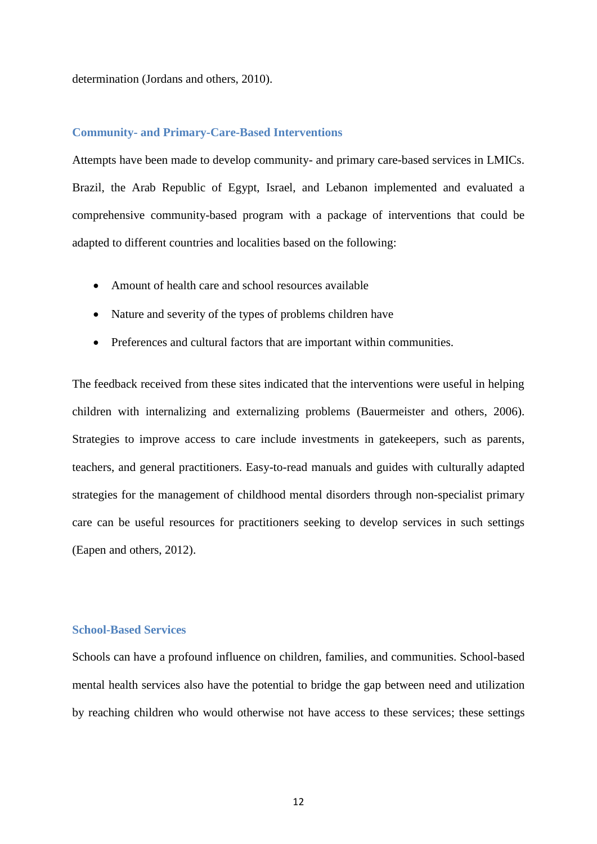determination [\(Jordans and others, 2010\)](#page-35-1).

#### **Community- and Primary-Care-Based Interventions**

Attempts have been made to develop community- and primary care-based services in LMICs. Brazil, the Arab Republic of Egypt, Israel, and Lebanon implemented and evaluated a comprehensive community-based program with a package of interventions that could be adapted to different countries and localities based on the following:

- Amount of health care and school resources available
- Nature and severity of the types of problems children have
- Preferences and cultural factors that are important within communities.

The feedback received from these sites indicated that the interventions were useful in helping children with internalizing and externalizing problems [\(Bauermeister and others, 2006\)](#page-30-5). Strategies to improve access to care include investments in gatekeepers, such as parents, teachers, and general practitioners. Easy-to-read manuals and guides with culturally adapted strategies for the management of childhood mental disorders through non-specialist primary care can be useful resources for practitioners seeking to develop services in such settings [\(Eapen and others, 2012\)](#page-32-2).

#### **School-Based Services**

Schools can have a profound influence on children, families, and communities. School-based mental health services also have the potential to bridge the gap between need and utilization by reaching children who would otherwise not have access to these services; these settings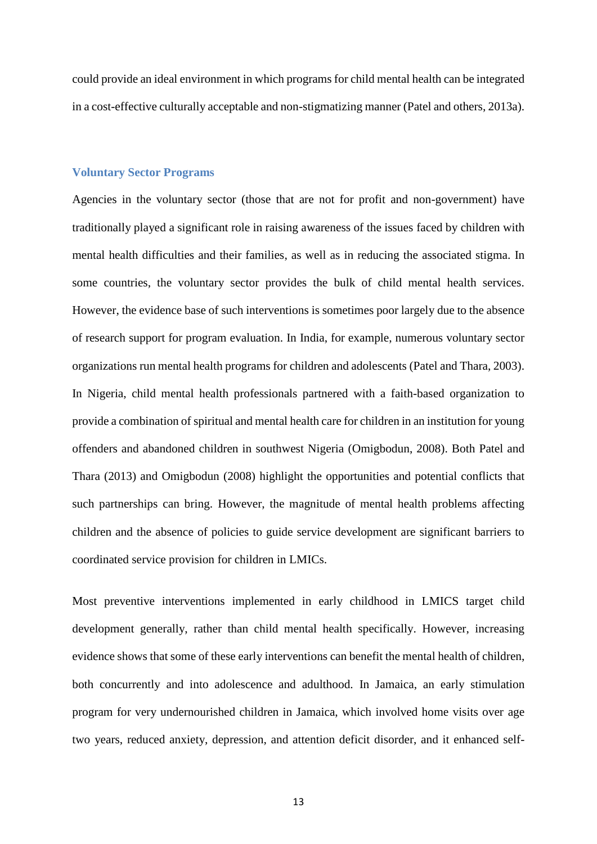could provide an ideal environment in which programs for child mental health can be integrated in a cost-effective culturally acceptable and non-stigmatizing manner [\(Patel and others, 2013a\)](#page-38-2).

#### **Voluntary Sector Programs**

Agencies in the voluntary sector (those that are not for profit and non-government) have traditionally played a significant role in raising awareness of the issues faced by children with mental health difficulties and their families, as well as in reducing the associated stigma. In some countries, the voluntary sector provides the bulk of child mental health services. However, the evidence base of such interventions is sometimes poor largely due to the absence of research support for program evaluation. In India, for example, numerous voluntary sector organizations run mental health programs for children and adolescents [\(Patel and Thara, 2003\)](#page-39-1). In Nigeria, child mental health professionals partnered with a faith-based organization to provide a combination of spiritual and mental health care for children in an institution for young offenders and abandoned children in southwest Nigeria [\(Omigbodun, 2008\)](#page-38-3). Both Patel and Thara (2013) and Omigbodun (2008) highlight the opportunities and potential conflicts that such partnerships can bring. However, the magnitude of mental health problems affecting children and the absence of policies to guide service development are significant barriers to coordinated service provision for children in LMICs.

Most preventive interventions implemented in early childhood in LMICS target child development generally, rather than child mental health specifically. However, increasing evidence shows that some of these early interventions can benefit the mental health of children, both concurrently and into adolescence and adulthood. In Jamaica, an early stimulation program for very undernourished children in Jamaica, which involved home visits over age two years, reduced anxiety, depression, and attention deficit disorder, and it enhanced self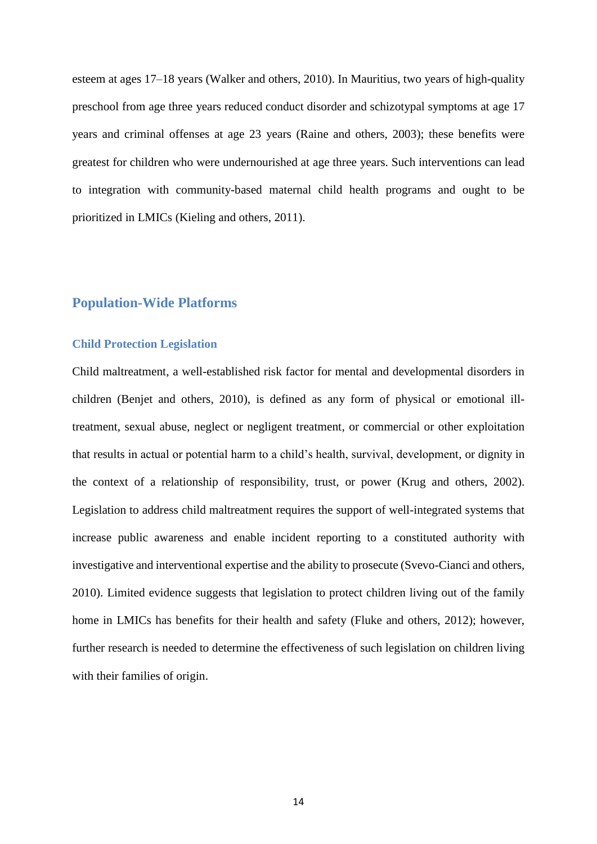esteem at ages 17–18 years [\(Walker and others, 2010\)](#page-41-4). In Mauritius, two years of high-quality preschool from age three years reduced conduct disorder and schizotypal symptoms at age 17 years and criminal offenses at age 23 years [\(Raine and others, 2003\)](#page-39-2); these benefits were greatest for children who were undernourished at age three years. Such interventions can lead to integration with community-based maternal child health programs and ought to be prioritized in LMICs [\(Kieling and others, 2011\)](#page-36-1).

## **Population-Wide Platforms**

#### **Child Protection Legislation**

Child maltreatment, a well-established risk factor for mental and developmental disorders in children [\(Benjet and others, 2010\)](#page-31-0), is defined as any form of physical or emotional illtreatment, sexual abuse, neglect or negligent treatment, or commercial or other exploitation that results in actual or potential harm to a child's health, survival, development, or dignity in the context of a relationship of responsibility, trust, or power [\(Krug and others, 2002\)](#page-36-3). Legislation to address child maltreatment requires the support of well-integrated systems that increase public awareness and enable incident reporting to a constituted authority with investigative and interventional expertise and the ability to prosecute [\(Svevo-Cianci and others,](#page-40-3)  [2010\)](#page-40-3). Limited evidence suggests that legislation to protect children living out of the family home in LMICs has benefits for their health and safety [\(Fluke and others, 2012\)](#page-33-2); however, further research is needed to determine the effectiveness of such legislation on children living with their families of origin.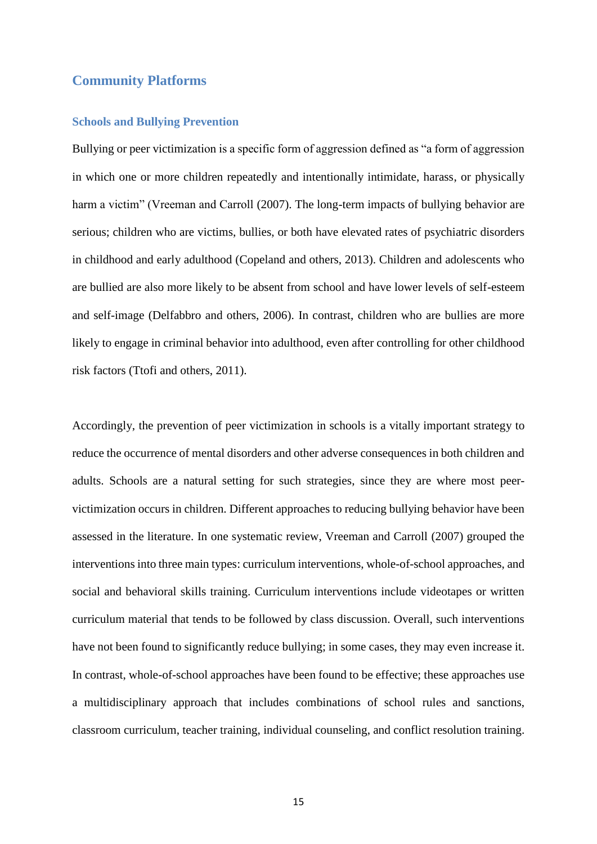## **Community Platforms**

#### **Schools and Bullying Prevention**

Bullying or peer victimization is a specific form of aggression defined as "a form of aggression in which one or more children repeatedly and intentionally intimidate, harass, or physically harm a victim" (Vreeman and Carroll [\(2007\)](#page-30-6). The long-term impacts of bullying behavior are serious; children who are victims, bullies, or both have elevated rates of psychiatric disorders in childhood and early adulthood [\(Copeland and others, 2013\)](#page-31-2). Children and adolescents who are bullied are also more likely to be absent from school and have lower levels of self-esteem and self-image [\(Delfabbro and others, 2006\)](#page-32-3). In contrast, children who are bullies are more likely to engage in criminal behavior into adulthood, even after controlling for other childhood risk factors [\(Ttofi and others, 2011\)](#page-41-5).

Accordingly, the prevention of peer victimization in schools is a vitally important strategy to reduce the occurrence of mental disorders and other adverse consequences in both children and adults. Schools are a natural setting for such strategies, since they are where most peervictimization occurs in children. Different approaches to reducing bullying behavior have been assessed in the literature. In one systematic review, Vreeman and Carroll (2007) grouped the interventions into three main types: curriculum interventions, whole-of-school approaches, and social and behavioral skills training. Curriculum interventions include videotapes or written curriculum material that tends to be followed by class discussion. Overall, such interventions have not been found to significantly reduce bullying; in some cases, they may even increase it. In contrast, whole-of-school approaches have been found to be effective; these approaches use a multidisciplinary approach that includes combinations of school rules and sanctions, classroom curriculum, teacher training, individual counseling, and conflict resolution training.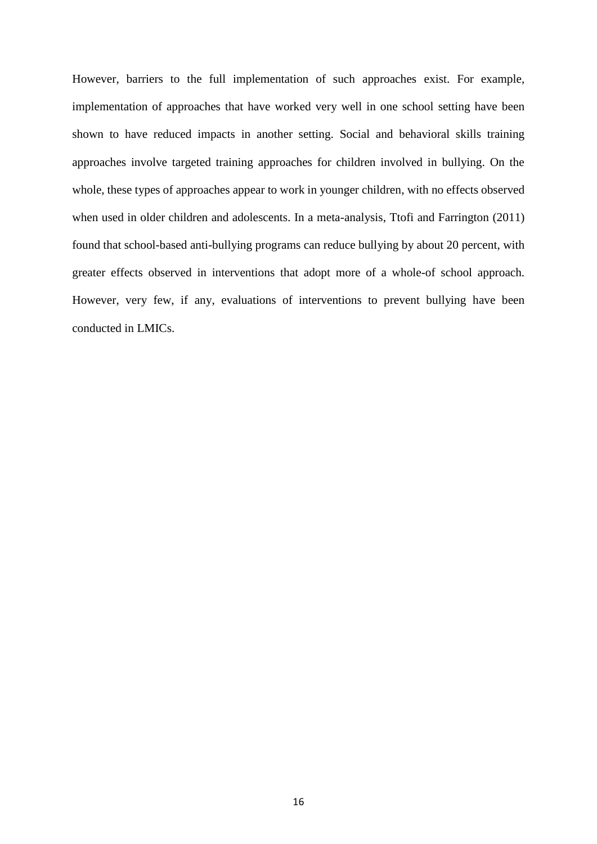However, barriers to the full implementation of such approaches exist. For example, implementation of approaches that have worked very well in one school setting have been shown to have reduced impacts in another setting. Social and behavioral skills training approaches involve targeted training approaches for children involved in bullying. On the whole, these types of approaches appear to work in younger children, with no effects observed when used in older children and adolescents. In a meta-analysis, Ttofi and Farrington [\(2011\)](#page-40-4) found that school-based anti-bullying programs can reduce bullying by about 20 percent, with greater effects observed in interventions that adopt more of a whole-of school approach. However, very few, if any, evaluations of interventions to prevent bullying have been conducted in LMICs.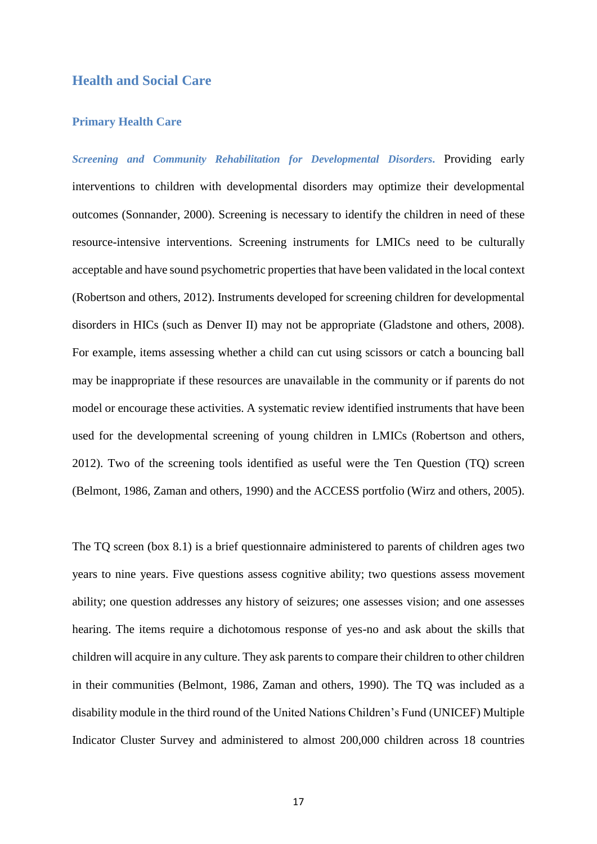## **Health and Social Care**

#### **Primary Health Care**

*Screening and Community Rehabilitation for Developmental Disorders***.** Providing early interventions to children with developmental disorders may optimize their developmental outcomes [\(Sonnander, 2000\)](#page-40-5). Screening is necessary to identify the children in need of these resource-intensive interventions. Screening instruments for LMICs need to be culturally acceptable and have sound psychometric properties that have been validated in the local context [\(Robertson and others, 2012\)](#page-40-6). Instruments developed for screening children for developmental disorders in HICs (such as Denver II) may not be appropriate [\(Gladstone and others, 2008\)](#page-34-0). For example, items assessing whether a child can cut using scissors or catch a bouncing ball may be inappropriate if these resources are unavailable in the community or if parents do not model or encourage these activities. A systematic review identified instruments that have been used for the developmental screening of young children in LMICs [\(Robertson and others,](#page-40-6)  [2012\)](#page-40-6). Two of the screening tools identified as useful were the Ten Question (TQ) screen [\(Belmont, 1986,](#page-31-3) [Zaman and others, 1990\)](#page-42-1) and the ACCESS portfolio [\(Wirz and others, 2005\)](#page-41-6).

The TQ screen (box 8.1) is a brief questionnaire administered to parents of children ages two years to nine years. Five questions assess cognitive ability; two questions assess movement ability; one question addresses any history of seizures; one assesses vision; and one assesses hearing. The items require a dichotomous response of yes-no and ask about the skills that children will acquire in any culture. They ask parents to compare their children to other children in their communities [\(Belmont, 1986,](#page-31-3) [Zaman and others, 1990\)](#page-42-1). The TQ was included as a disability module in the third round of the United Nations Children's Fund (UNICEF) Multiple Indicator Cluster Survey and administered to almost 200,000 children across 18 countries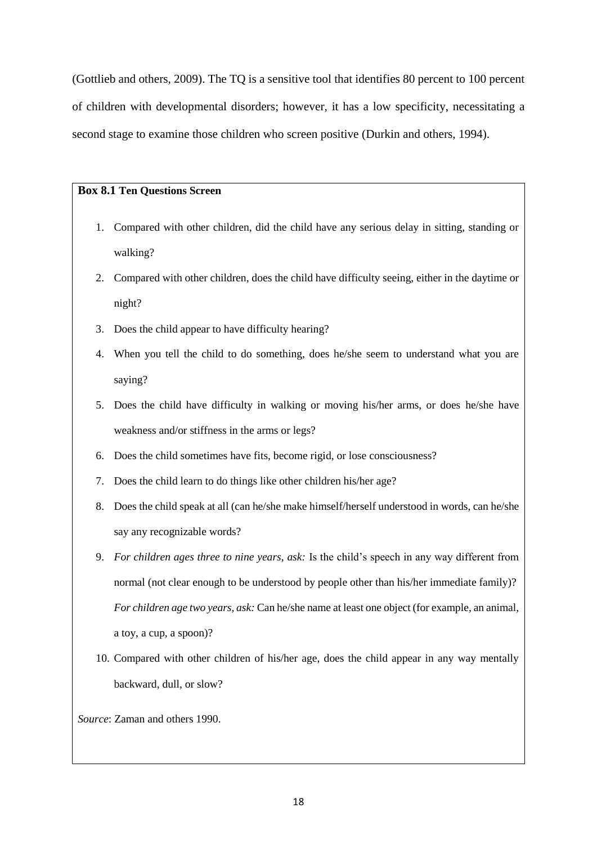[\(Gottlieb and others, 2009\)](#page-34-1). The TQ is a sensitive tool that identifies 80 percent to 100 percent of children with developmental disorders; however, it has a low specificity, necessitating a second stage to examine those children who screen positive [\(Durkin and others, 1994\)](#page-32-4).

#### **Box 8.1 Ten Questions Screen**

- 1. Compared with other children, did the child have any serious delay in sitting, standing or walking?
- 2. Compared with other children, does the child have difficulty seeing, either in the daytime or night?
- 3. Does the child appear to have difficulty hearing?
- 4. When you tell the child to do something, does he/she seem to understand what you are saying?
- 5. Does the child have difficulty in walking or moving his/her arms, or does he/she have weakness and/or stiffness in the arms or legs?
- 6. Does the child sometimes have fits, become rigid, or lose consciousness?
- 7. Does the child learn to do things like other children his/her age?
- 8. Does the child speak at all (can he/she make himself/herself understood in words, can he/she say any recognizable words?
- 9. *For children ages three to nine years, ask:* Is the child's speech in any way different from normal (not clear enough to be understood by people other than his/her immediate family)? *For children age two years, ask:* Can he/she name at least one object (for example, an animal, a toy, a cup, a spoon)?
- 10. Compared with other children of his/her age, does the child appear in any way mentally backward, dull, or slow?

*Source*: Zaman and others 1990.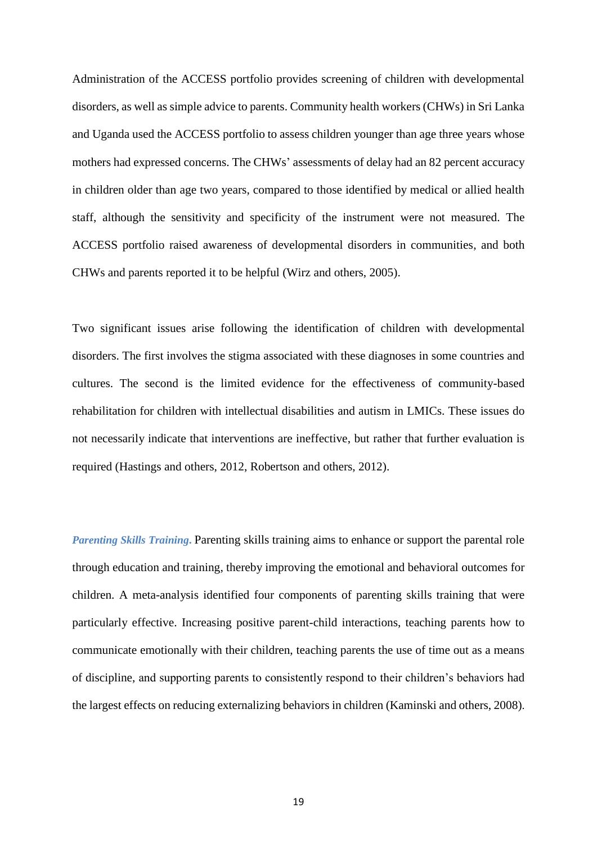Administration of the ACCESS portfolio provides screening of children with developmental disorders, as well as simple advice to parents. Community health workers (CHWs) in Sri Lanka and Uganda used the ACCESS portfolio to assess children younger than age three years whose mothers had expressed concerns. The CHWs' assessments of delay had an 82 percent accuracy in children older than age two years, compared to those identified by medical or allied health staff, although the sensitivity and specificity of the instrument were not measured. The ACCESS portfolio raised awareness of developmental disorders in communities, and both CHWs and parents reported it to be helpful [\(Wirz and others, 2005\)](#page-41-6).

Two significant issues arise following the identification of children with developmental disorders. The first involves the stigma associated with these diagnoses in some countries and cultures. The second is the limited evidence for the effectiveness of community-based rehabilitation for children with intellectual disabilities and autism in LMICs. These issues do not necessarily indicate that interventions are ineffective, but rather that further evaluation is required [\(Hastings and others, 2012,](#page-35-2) [Robertson and others, 2012\)](#page-40-6).

*Parenting Skills Training***.** Parenting skills training aims to enhance or support the parental role through education and training, thereby improving the emotional and behavioral outcomes for children. A meta-analysis identified four components of parenting skills training that were particularly effective. Increasing positive parent-child interactions, teaching parents how to communicate emotionally with their children, teaching parents the use of time out as a means of discipline, and supporting parents to consistently respond to their children's behaviors had the largest effects on reducing externalizing behaviors in children [\(Kaminski and others, 2008\)](#page-35-3).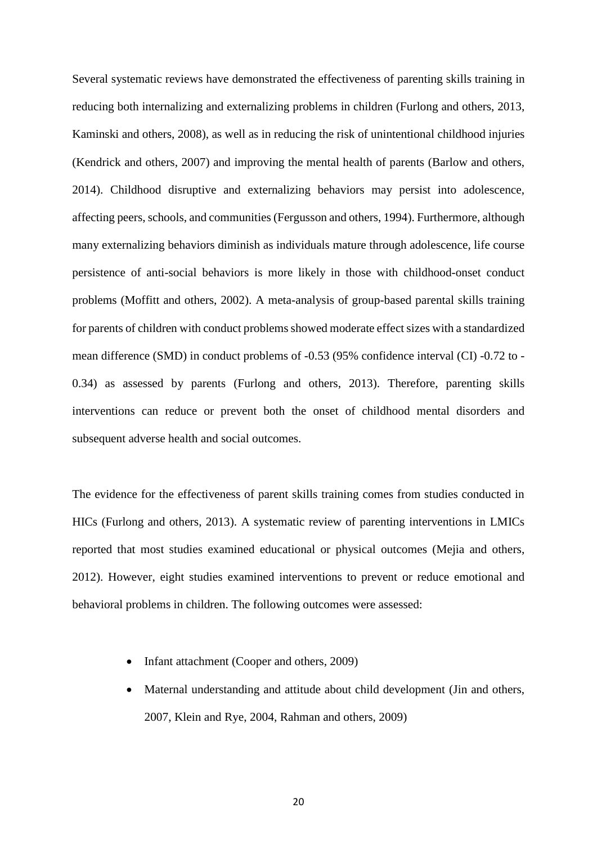Several systematic reviews have demonstrated the effectiveness of parenting skills training in reducing both internalizing and externalizing problems in children [\(Furlong and others, 2013,](#page-33-3) [Kaminski and others, 2008\)](#page-35-3), as well as in reducing the risk of unintentional childhood injuries [\(Kendrick and others, 2007\)](#page-36-4) and improving the mental health of parents [\(Barlow and others,](#page-30-7)  [2014\)](#page-30-7). Childhood disruptive and externalizing behaviors may persist into adolescence, affecting peers, schools, and communities[\(Fergusson and others, 1994\)](#page-33-4). Furthermore, although many externalizing behaviors diminish as individuals mature through adolescence, life course persistence of anti-social behaviors is more likely in those with childhood-onset conduct problems [\(Moffitt and others, 2002\)](#page-37-1). A meta-analysis of group-based parental skills training for parents of children with conduct problems showed moderate effect sizes with a standardized mean difference (SMD) in conduct problems of -0.53 (95% confidence interval (CI) -0.72 to - 0.34) as assessed by parents [\(Furlong and others, 2013\)](#page-33-3). Therefore, parenting skills interventions can reduce or prevent both the onset of childhood mental disorders and subsequent adverse health and social outcomes.

The evidence for the effectiveness of parent skills training comes from studies conducted in HICs [\(Furlong and others, 2013\)](#page-33-3). A systematic review of parenting interventions in LMICs reported that most studies examined educational or physical outcomes [\(Mejia and others,](#page-37-2)  [2012\)](#page-37-2). However, eight studies examined interventions to prevent or reduce emotional and behavioral problems in children. The following outcomes were assessed:

- Infant attachment [\(Cooper and others, 2009\)](#page-31-4)
- Maternal understanding and attitude about child development [\(Jin and others,](#page-35-4)  [2007,](#page-35-4) [Klein and Rye, 2004,](#page-36-5) [Rahman and others, 2009\)](#page-39-3)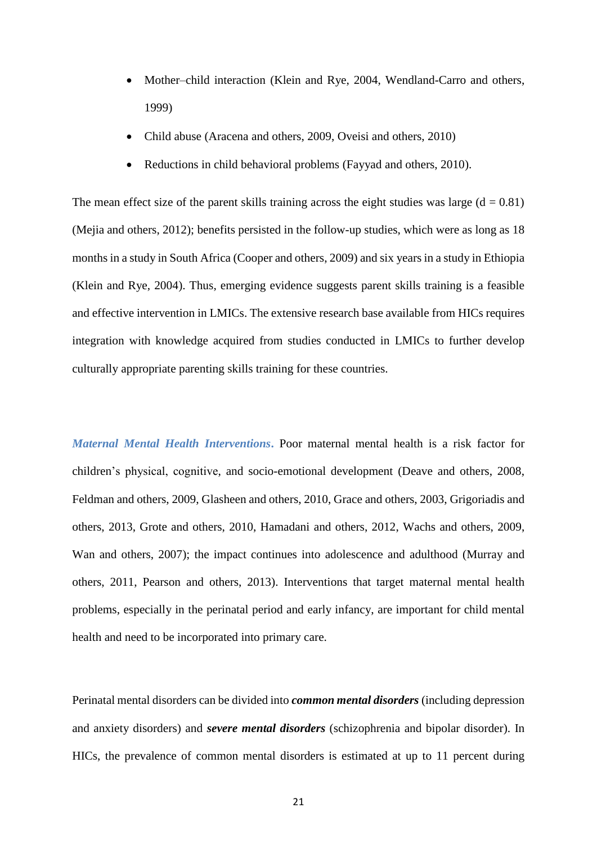- Mother–child interaction [\(Klein and Rye, 2004,](#page-36-5) [Wendland-Carro and others,](#page-41-7) [1999\)](#page-41-7)
- Child abuse [\(Aracena and others, 2009,](#page-30-8) [Oveisi and others, 2010\)](#page-38-4)
- Reductions in child behavioral problems [\(Fayyad and others, 2010\)](#page-33-5).

The mean effect size of the parent skills training across the eight studies was large  $(d = 0.81)$ [\(Mejia and others, 2012\)](#page-37-2); benefits persisted in the follow-up studies, which were as long as 18 months in a study in South Africa [\(Cooper and others, 2009\)](#page-31-4) and six years in a study in Ethiopia (Klein [and Rye, 2004\)](#page-36-5). Thus, emerging evidence suggests parent skills training is a feasible and effective intervention in LMICs. The extensive research base available from HICs requires integration with knowledge acquired from studies conducted in LMICs to further develop culturally appropriate parenting skills training for these countries.

*Maternal Mental Health Interventions***.** Poor maternal mental health is a risk factor for children's physical, cognitive, and socio-emotional development [\(Deave and others, 2008,](#page-31-5) [Feldman and others, 2009,](#page-33-6) [Glasheen and others, 2010,](#page-34-2) [Grace and others, 2003,](#page-34-3) [Grigoriadis and](#page-34-4)  [others, 2013,](#page-34-4) [Grote and others, 2010,](#page-34-5) [Hamadani and others, 2012,](#page-34-6) [Wachs and others, 2009,](#page-41-8) [Wan and others, 2007\)](#page-41-9); the impact continues into adolescence and adulthood [\(Murray and](#page-38-5)  [others, 2011,](#page-38-5) [Pearson and others, 2013\)](#page-39-4). Interventions that target maternal mental health problems, especially in the perinatal period and early infancy, are important for child mental health and need to be incorporated into primary care.

Perinatal mental disorders can be divided into *common mental disorders* (including depression and anxiety disorders) and *severe mental disorders* (schizophrenia and bipolar disorder). In HICs, the prevalence of common mental disorders is estimated at up to 11 percent during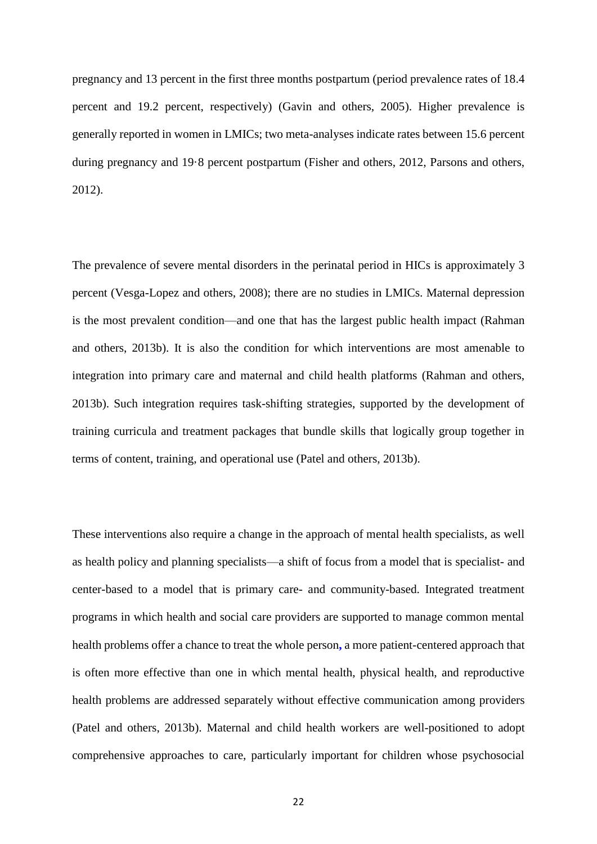pregnancy and 13 percent in the first three months postpartum (period prevalence rates of 18.4 percent and 19.2 percent, respectively) [\(Gavin and others, 2005\)](#page-34-7). Higher prevalence is generally reported in women in LMICs; two meta-analyses indicate rates between 15.6 percent during pregnancy and 19·8 percent postpartum [\(Fisher and others, 2012,](#page-33-7) [Parsons and others,](#page-38-6)  [2012\)](#page-38-6).

The prevalence of severe mental disorders in the perinatal period in HICs is approximately 3 percent [\(Vesga-Lopez and others, 2008\)](#page-41-10); there are no studies in LMICs. Maternal depression is the most prevalent condition—and one that has the largest public health impact [\(Rahman](#page-39-5)  [and others, 2013b\)](#page-39-5). It is also the condition for which interventions are most amenable to integration into primary care and maternal and child health platforms [\(Rahman and others,](#page-39-5)  [2013b\)](#page-39-5). Such integration requires task-shifting strategies, supported by the development of training curricula and treatment packages that bundle skills that logically group together in terms of content, training, and operational use [\(Patel and others, 2013b\)](#page-38-7).

These interventions also require a change in the approach of mental health specialists, as well as health policy and planning specialists—a shift of focus from a model that is specialist- and center-based to a model that is primary care- and community-based. Integrated treatment programs in which health and social care providers are supported to manage common mental health problems offer a chance to treat the whole person**,** a more patient-centered approach that is often more effective than one in which mental health, physical health, and reproductive health problems are addressed separately without effective communication among providers [\(Patel and others, 2013b\)](#page-38-7). Maternal and child health workers are well-positioned to adopt comprehensive approaches to care, particularly important for children whose psychosocial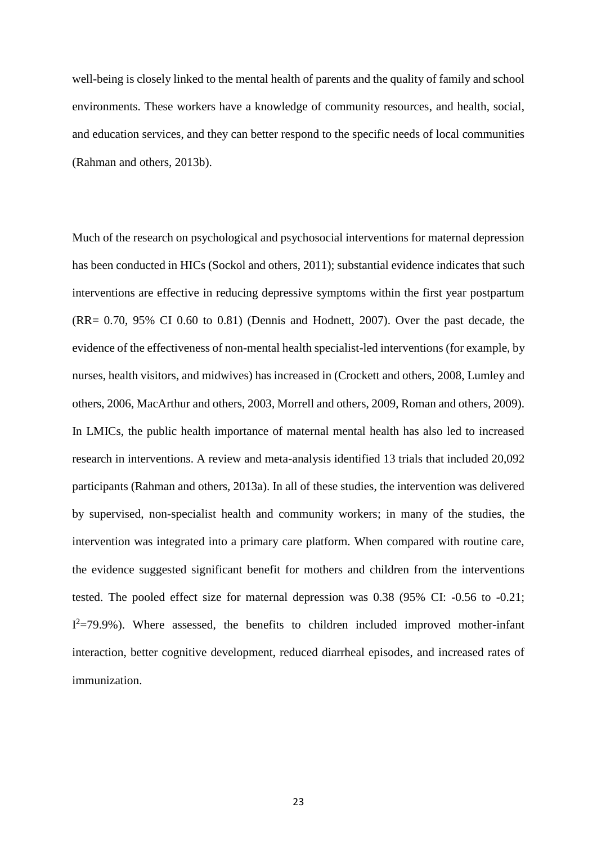well-being is closely linked to the mental health of parents and the quality of family and school environments. These workers have a knowledge of community resources, and health, social, and education services, and they can better respond to the specific needs of local communities [\(Rahman and others, 2013b\)](#page-39-5).

Much of the research on psychological and psychosocial interventions for maternal depression has been conducted in HICs [\(Sockol and others, 2011\)](#page-40-7); substantial evidence indicates that such interventions are effective in reducing depressive symptoms within the first year postpartum  $(RR = 0.70, 95\% \text{ CI } 0.60 \text{ to } 0.81)$  [\(Dennis and Hodnett, 2007\)](#page-32-5). Over the past decade, the evidence of the effectiveness of non-mental health specialist-led interventions (for example, by nurses, health visitors, and midwives) has increased in [\(Crockett and others, 2008,](#page-31-6) [Lumley and](#page-36-6)  [others, 2006,](#page-36-6) [MacArthur and others, 2003,](#page-37-3) [Morrell and others, 2009,](#page-37-4) [Roman and others, 2009\)](#page-40-8). In LMICs, the public health importance of maternal mental health has also led to increased research in interventions. A review and meta-analysis identified 13 trials that included 20,092 participants [\(Rahman and others, 2013a\)](#page-39-6). In all of these studies, the intervention was delivered by supervised, non-specialist health and community workers; in many of the studies, the intervention was integrated into a primary care platform. When compared with routine care, the evidence suggested significant benefit for mothers and children from the interventions tested. The pooled effect size for maternal depression was 0.38 (95% CI: -0.56 to -0.21;  $I^2$ =79.9%). Where assessed, the benefits to children included improved mother-infant interaction, better cognitive development, reduced diarrheal episodes, and increased rates of immunization.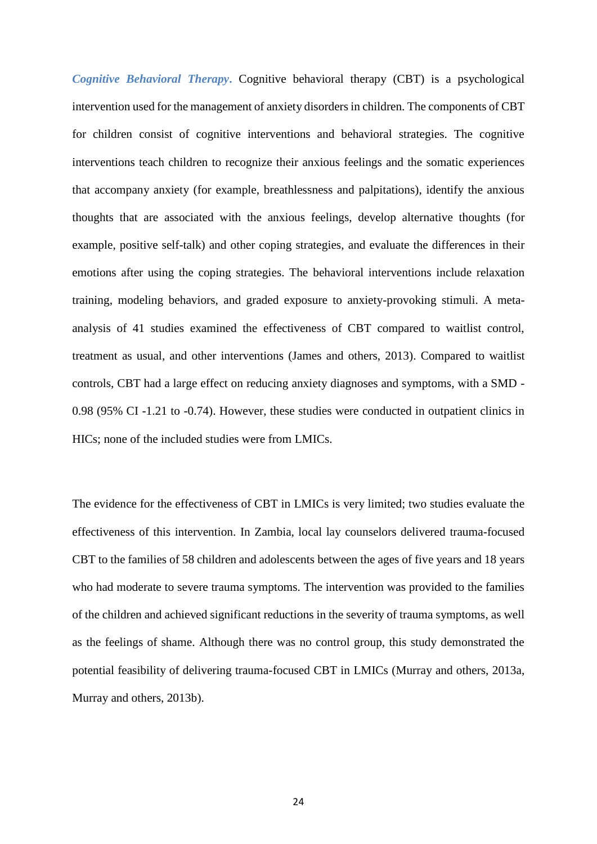*Cognitive Behavioral Therapy*. Cognitive behavioral therapy (CBT) is a psychological intervention used for the management of anxiety disorders in children. The components of CBT for children consist of cognitive interventions and behavioral strategies. The cognitive interventions teach children to recognize their anxious feelings and the somatic experiences that accompany anxiety (for example, breathlessness and palpitations), identify the anxious thoughts that are associated with the anxious feelings, develop alternative thoughts (for example, positive self-talk) and other coping strategies, and evaluate the differences in their emotions after using the coping strategies. The behavioral interventions include relaxation training, modeling behaviors, and graded exposure to anxiety-provoking stimuli. A metaanalysis of 41 studies examined the effectiveness of CBT compared to waitlist control, treatment as usual, and other interventions [\(James and others, 2013\)](#page-35-5). Compared to waitlist controls, CBT had a large effect on reducing anxiety diagnoses and symptoms, with a SMD - 0.98 (95% CI -1.21 to -0.74). However, these studies were conducted in outpatient clinics in HICs; none of the included studies were from LMICs.

The evidence for the effectiveness of CBT in LMICs is very limited; two studies evaluate the effectiveness of this intervention. In Zambia, local lay counselors delivered trauma-focused CBT to the families of 58 children and adolescents between the ages of five years and 18 years who had moderate to severe trauma symptoms. The intervention was provided to the families of the children and achieved significant reductions in the severity of trauma symptoms, as well as the feelings of shame. Although there was no control group, this study demonstrated the potential feasibility of delivering trauma-focused CBT in LMICs [\(Murray and others, 2013a,](#page-38-8) [Murray and others, 2013b\)](#page-38-9).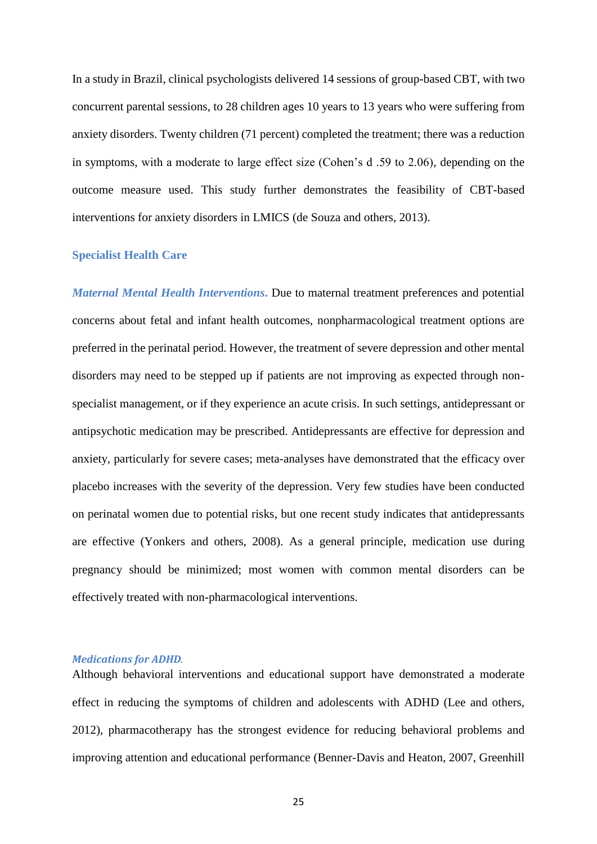In a study in Brazil, clinical psychologists delivered 14 sessions of group-based CBT, with two concurrent parental sessions, to 28 children ages 10 years to 13 years who were suffering from anxiety disorders. Twenty children (71 percent) completed the treatment; there was a reduction in symptoms, with a moderate to large effect size (Cohen's d .59 to 2.06), depending on the outcome measure used. This study further demonstrates the feasibility of CBT-based interventions for anxiety disorders in LMICS [\(de Souza and others, 2013\)](#page-31-7).

#### **Specialist Health Care**

*Maternal Mental Health Interventions***.** Due to maternal treatment preferences and potential concerns about fetal and infant health outcomes, nonpharmacological treatment options are preferred in the perinatal period. However, the treatment of severe depression and other mental disorders may need to be stepped up if patients are not improving as expected through nonspecialist management, or if they experience an acute crisis. In such settings, antidepressant or antipsychotic medication may be prescribed. Antidepressants are effective for depression and anxiety, particularly for severe cases; meta-analyses have demonstrated that the efficacy over placebo increases with the severity of the depression. Very few studies have been conducted on perinatal women due to potential risks, but one recent study indicates that antidepressants are effective [\(Yonkers and others, 2008\)](#page-42-2). As a general principle, medication use during pregnancy should be minimized; most women with common mental disorders can be effectively treated with non-pharmacological interventions.

#### *Medications for ADHD.*

Although behavioral interventions and educational support have demonstrated a moderate effect in reducing the symptoms of children and adolescents with ADHD [\(Lee and others,](#page-36-7)  [2012\)](#page-36-7), pharmacotherapy has the strongest evidence for reducing behavioral problems and improving attention and educational performance [\(Benner-Davis and Heaton, 2007,](#page-31-8) [Greenhill](#page-34-8)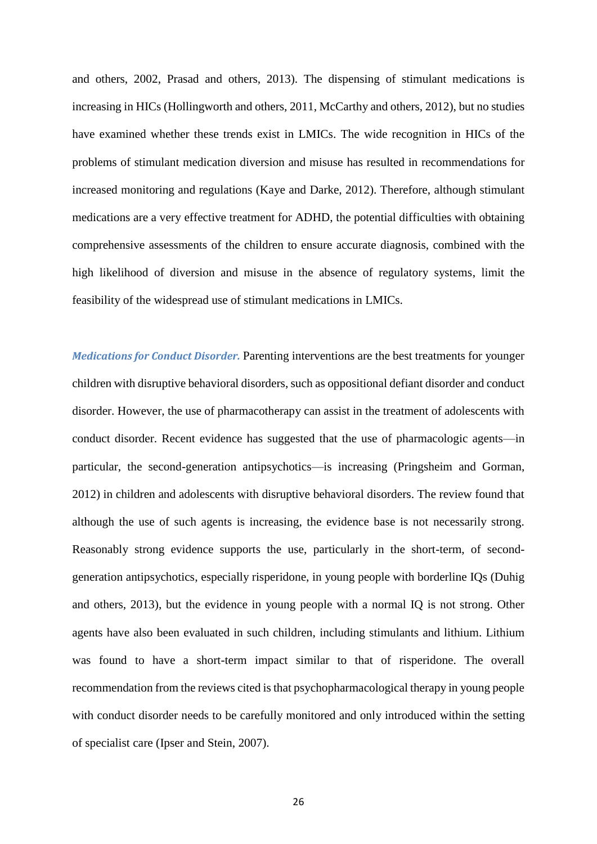[and others, 2002,](#page-34-8) [Prasad and others, 2013\)](#page-39-7). The dispensing of stimulant medications is increasing in HICs [\(Hollingworth and others, 2011,](#page-35-6) [McCarthy and others, 2012\)](#page-37-5), but no studies have examined whether these trends exist in LMICs. The wide recognition in HICs of the problems of stimulant medication diversion and misuse has resulted in recommendations for increased monitoring and regulations [\(Kaye and Darke, 2012\)](#page-35-7). Therefore, although stimulant medications are a very effective treatment for ADHD, the potential difficulties with obtaining comprehensive assessments of the children to ensure accurate diagnosis, combined with the high likelihood of diversion and misuse in the absence of regulatory systems, limit the feasibility of the widespread use of stimulant medications in LMICs.

*Medications for Conduct Disorder.* Parenting interventions are the best treatments for younger children with disruptive behavioral disorders, such as oppositional defiant disorder and conduct disorder. However, the use of pharmacotherapy can assist in the treatment of adolescents with conduct disorder. Recent evidence has suggested that the use of pharmacologic agents—in particular, the second-generation antipsychotics—is increasing [\(Pringsheim and Gorman,](#page-39-8)  [2012\)](#page-39-8) in children and adolescents with disruptive behavioral disorders. The review found that although the use of such agents is increasing, the evidence base is not necessarily strong. Reasonably strong evidence supports the use, particularly in the short-term, of secondgeneration antipsychotics, especially risperidone, in young people with borderline IQs [\(Duhig](#page-32-6)  [and others, 2013\)](#page-32-6), but the evidence in young people with a normal IQ is not strong. Other agents have also been evaluated in such children, including stimulants and lithium. Lithium was found to have a short-term impact similar to that of risperidone. The overall recommendation from the reviews cited is that psychopharmacological therapy in young people with conduct disorder needs to be carefully monitored and only introduced within the setting of specialist care [\(Ipser and Stein, 2007\)](#page-35-8).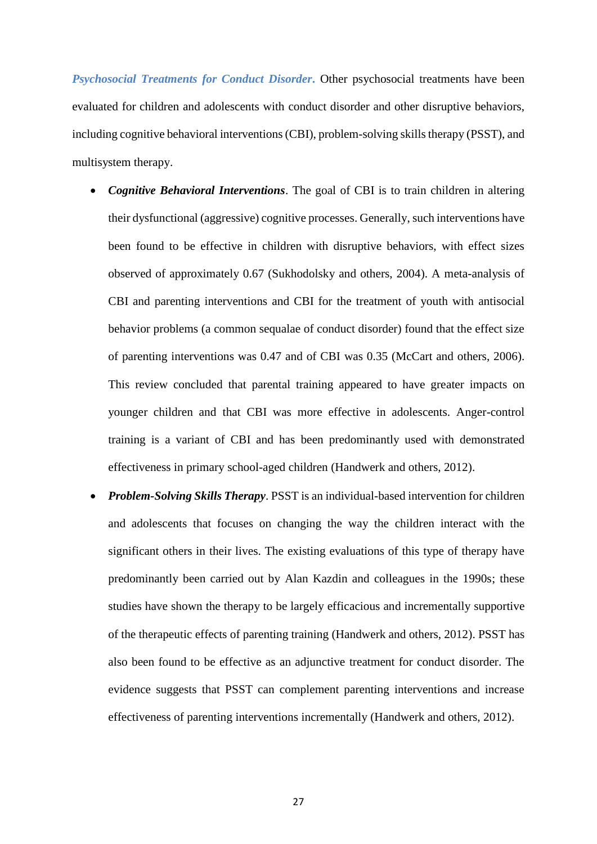*Psychosocial Treatments for Conduct Disorder***.** Other psychosocial treatments have been evaluated for children and adolescents with conduct disorder and other disruptive behaviors, including cognitive behavioral interventions (CBI), problem-solving skills therapy (PSST), and multisystem therapy.

- *Cognitive Behavioral Interventions*. The goal of CBI is to train children in altering their dysfunctional (aggressive) cognitive processes. Generally, such interventions have been found to be effective in children with disruptive behaviors, with effect sizes observed of approximately 0.67 [\(Sukhodolsky and others, 2004\)](#page-40-9). A meta-analysis of CBI and parenting interventions and CBI for the treatment of youth with antisocial behavior problems (a common sequalae of conduct disorder) found that the effect size of parenting interventions was 0.47 and of CBI was 0.35 [\(McCart and others, 2006\)](#page-37-6). This review concluded that parental training appeared to have greater impacts on younger children and that CBI was more effective in adolescents. Anger-control training is a variant of CBI and has been predominantly used with demonstrated effectiveness in primary school-aged children [\(Handwerk and others, 2012\)](#page-34-9).
- *Problem-Solving Skills Therapy*. PSST is an individual-based intervention for children and adolescents that focuses on changing the way the children interact with the significant others in their lives. The existing evaluations of this type of therapy have predominantly been carried out by Alan Kazdin and colleagues in the 1990s; these studies have shown the therapy to be largely efficacious and incrementally supportive of the therapeutic effects of parenting training [\(Handwerk and others, 2012\)](#page-34-9). PSST has also been found to be effective as an adjunctive treatment for conduct disorder. The evidence suggests that PSST can complement parenting interventions and increase effectiveness of parenting interventions incrementally [\(Handwerk and others, 2012\)](#page-34-9).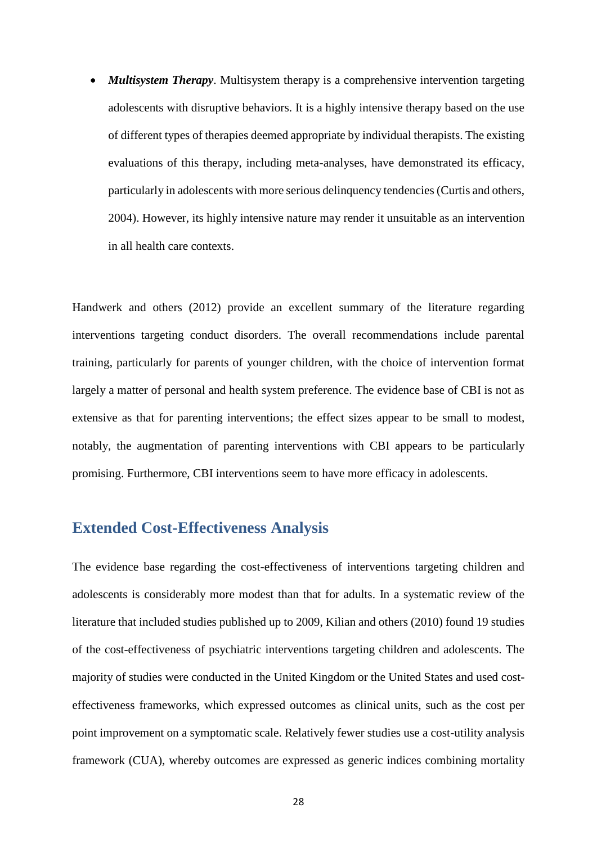*Multisystem Therapy*. Multisystem therapy is a comprehensive intervention targeting adolescents with disruptive behaviors. It is a highly intensive therapy based on the use of different types of therapies deemed appropriate by individual therapists. The existing evaluations of this therapy, including meta-analyses, have demonstrated its efficacy, particularly in adolescents with more serious delinquency tendencies [\(Curtis and others,](#page-31-9)  [2004\)](#page-31-9). However, its highly intensive nature may render it unsuitable as an intervention in all health care contexts.

Handwerk and others (2012) provide an excellent summary of the literature regarding interventions targeting conduct disorders. The overall recommendations include parental training, particularly for parents of younger children, with the choice of intervention format largely a matter of personal and health system preference. The evidence base of CBI is not as extensive as that for parenting interventions; the effect sizes appear to be small to modest, notably, the augmentation of parenting interventions with CBI appears to be particularly promising. Furthermore, CBI interventions seem to have more efficacy in adolescents.

## **Extended Cost-Effectiveness Analysis**

The evidence base regarding the cost-effectiveness of interventions targeting children and adolescents is considerably more modest than that for adults. In a systematic review of the literature that included studies published up to 2009, Kilian and others [\(2010\)](#page-36-8) found 19 studies of the cost-effectiveness of psychiatric interventions targeting children and adolescents. The majority of studies were conducted in the United Kingdom or the United States and used costeffectiveness frameworks, which expressed outcomes as clinical units, such as the cost per point improvement on a symptomatic scale. Relatively fewer studies use a cost-utility analysis framework (CUA), whereby outcomes are expressed as generic indices combining mortality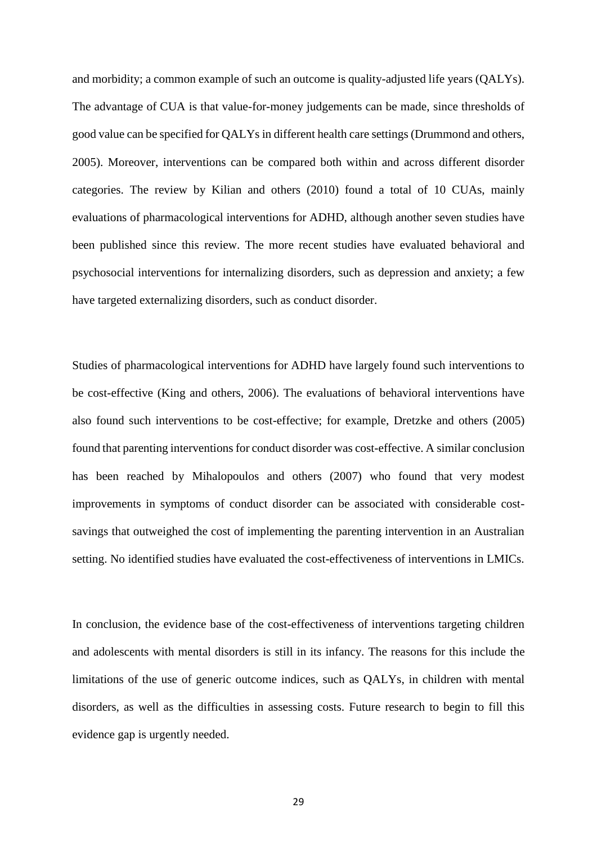and morbidity; a common example of such an outcome is quality-adjusted life years (QALYs). The advantage of CUA is that value-for-money judgements can be made, since thresholds of good value can be specified for QALYs in different health care settings [\(Drummond and others,](#page-32-7)  [2005\)](#page-32-7). Moreover, interventions can be compared both within and across different disorder categories. The review by Kilian and others (2010) found a total of 10 CUAs, mainly evaluations of pharmacological interventions for ADHD, although another seven studies have been published since this review. The more recent studies have evaluated behavioral and psychosocial interventions for internalizing disorders, such as depression and anxiety; a few have targeted externalizing disorders, such as conduct disorder.

Studies of pharmacological interventions for ADHD have largely found such interventions to be cost-effective [\(King and others, 2006\)](#page-36-9). The evaluations of behavioral interventions have also found such interventions to be cost-effective; for example, Dretzke and others [\(2005\)](#page-32-8) found that parenting interventions for conduct disorder was cost-effective. A similar conclusion has been reached by Mihalopoulos and others [\(2007\)](#page-37-7) who found that very modest improvements in symptoms of conduct disorder can be associated with considerable costsavings that outweighed the cost of implementing the parenting intervention in an Australian setting. No identified studies have evaluated the cost-effectiveness of interventions in LMICs.

In conclusion, the evidence base of the cost-effectiveness of interventions targeting children and adolescents with mental disorders is still in its infancy. The reasons for this include the limitations of the use of generic outcome indices, such as QALYs, in children with mental disorders, as well as the difficulties in assessing costs. Future research to begin to fill this evidence gap is urgently needed.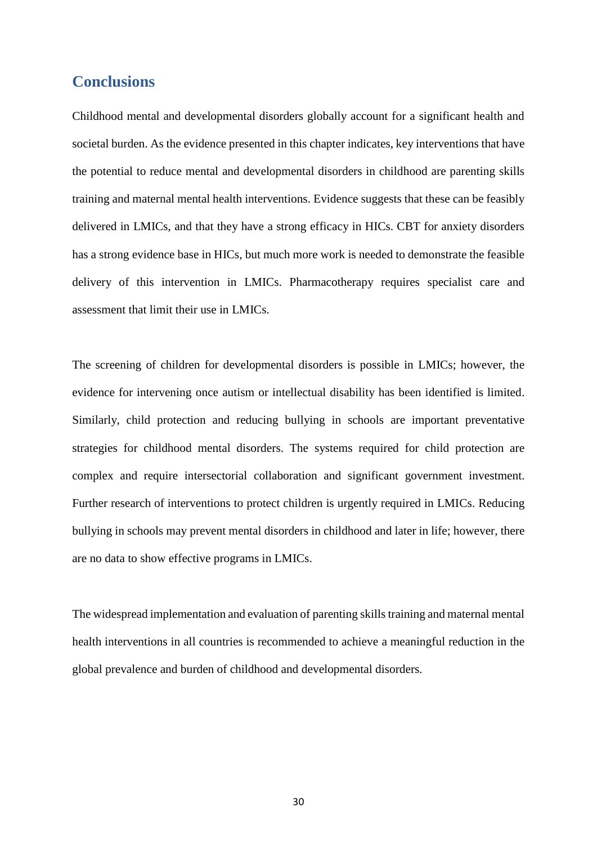## **Conclusions**

Childhood mental and developmental disorders globally account for a significant health and societal burden. As the evidence presented in this chapter indicates, key interventions that have the potential to reduce mental and developmental disorders in childhood are parenting skills training and maternal mental health interventions. Evidence suggests that these can be feasibly delivered in LMICs, and that they have a strong efficacy in HICs. CBT for anxiety disorders has a strong evidence base in HICs, but much more work is needed to demonstrate the feasible delivery of this intervention in LMICs. Pharmacotherapy requires specialist care and assessment that limit their use in LMICs.

The screening of children for developmental disorders is possible in LMICs; however, the evidence for intervening once autism or intellectual disability has been identified is limited. Similarly, child protection and reducing bullying in schools are important preventative strategies for childhood mental disorders. The systems required for child protection are complex and require intersectorial collaboration and significant government investment. Further research of interventions to protect children is urgently required in LMICs. Reducing bullying in schools may prevent mental disorders in childhood and later in life; however, there are no data to show effective programs in LMICs.

The widespread implementation and evaluation of parenting skills training and maternal mental health interventions in all countries is recommended to achieve a meaningful reduction in the global prevalence and burden of childhood and developmental disorders.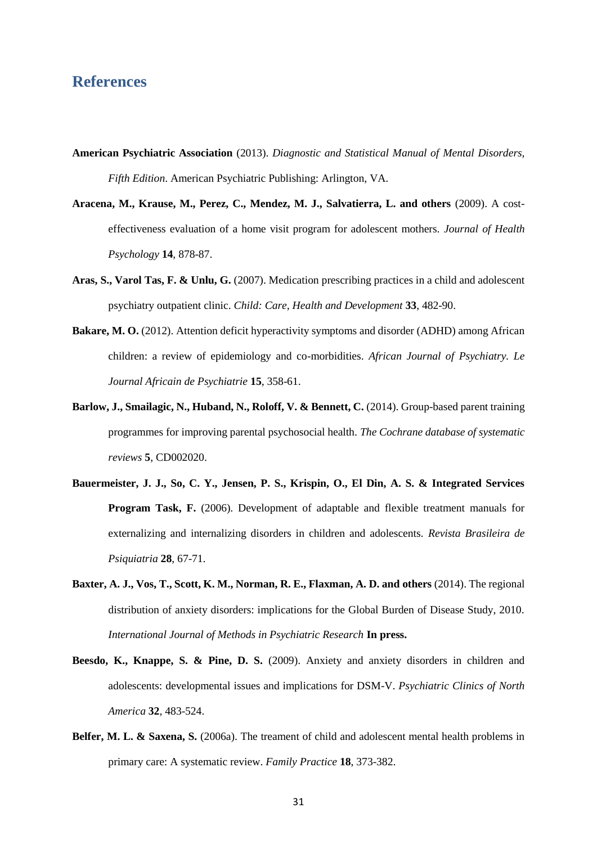## **References**

- <span id="page-30-0"></span>**American Psychiatric Association** (2013). *Diagnostic and Statistical Manual of Mental Disorders, Fifth Edition*. American Psychiatric Publishing: Arlington, VA.
- <span id="page-30-8"></span>**Aracena, M., Krause, M., Perez, C., Mendez, M. J., Salvatierra, L. and others** (2009). A costeffectiveness evaluation of a home visit program for adolescent mothers. *Journal of Health Psychology* **14**, 878-87.
- <span id="page-30-6"></span>Aras, S., Varol Tas, F. & Unlu, G. (2007). Medication prescribing practices in a child and adolescent psychiatry outpatient clinic. *Child: Care, Health and Development* **33**, 482-90.
- <span id="page-30-2"></span>**Bakare, M. O.** (2012). Attention deficit hyperactivity symptoms and disorder (ADHD) among African children: a review of epidemiology and co-morbidities. *African Journal of Psychiatry. Le Journal Africain de Psychiatrie* **15**, 358-61.
- <span id="page-30-7"></span>**Barlow, J., Smailagic, N., Huband, N., Roloff, V. & Bennett, C.** (2014). Group-based parent training programmes for improving parental psychosocial health. *The Cochrane database of systematic reviews* **5**, CD002020.
- <span id="page-30-5"></span>**Bauermeister, J. J., So, C. Y., Jensen, P. S., Krispin, O., El Din, A. S. & Integrated Services Program Task, F.** (2006). Development of adaptable and flexible treatment manuals for externalizing and internalizing disorders in children and adolescents. *Revista Brasileira de Psiquiatria* **28**, 67-71.
- <span id="page-30-3"></span>**Baxter, A. J., Vos, T., Scott, K. M., Norman, R. E., Flaxman, A. D. and others** (2014). The regional distribution of anxiety disorders: implications for the Global Burden of Disease Study, 2010. *International Journal of Methods in Psychiatric Research* **In press.**
- <span id="page-30-1"></span>**Beesdo, K., Knappe, S. & Pine, D. S.** (2009). Anxiety and anxiety disorders in children and adolescents: developmental issues and implications for DSM-V. *Psychiatric Clinics of North America* **32**, 483-524.
- <span id="page-30-4"></span>**Belfer, M. L. & Saxena, S.** (2006a). The treament of child and adolescent mental health problems in primary care: A systematic review. *Family Practice* **18**, 373-382.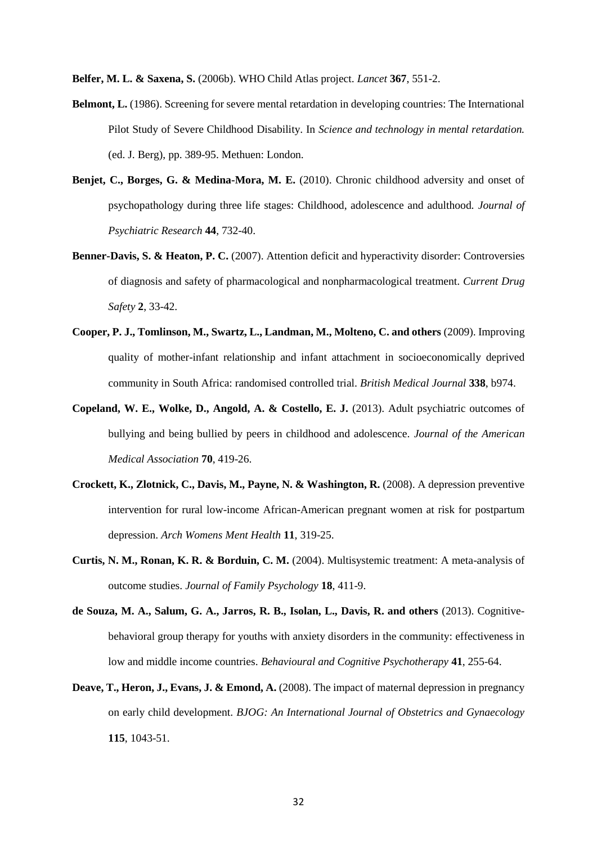<span id="page-31-1"></span>**Belfer, M. L. & Saxena, S.** (2006b). WHO Child Atlas project. *Lancet* **367**, 551-2.

- <span id="page-31-3"></span>**Belmont, L.** (1986). Screening for severe mental retardation in developing countries: The International Pilot Study of Severe Childhood Disability. In *Science and technology in mental retardation.* (ed. J. Berg), pp. 389-95. Methuen: London.
- <span id="page-31-0"></span>**Benjet, C., Borges, G. & Medina-Mora, M. E.** (2010). Chronic childhood adversity and onset of psychopathology during three life stages: Childhood, adolescence and adulthood. *Journal of Psychiatric Research* **44**, 732-40.
- <span id="page-31-8"></span>**Benner-Davis, S. & Heaton, P. C.** (2007). Attention deficit and hyperactivity disorder: Controversies of diagnosis and safety of pharmacological and nonpharmacological treatment. *Current Drug Safety* **2**, 33-42.
- <span id="page-31-4"></span>**Cooper, P. J., Tomlinson, M., Swartz, L., Landman, M., Molteno, C. and others** (2009). Improving quality of mother-infant relationship and infant attachment in socioeconomically deprived community in South Africa: randomised controlled trial. *British Medical Journal* **338**, b974.
- <span id="page-31-2"></span>**Copeland, W. E., Wolke, D., Angold, A. & Costello, E. J.** (2013). Adult psychiatric outcomes of bullying and being bullied by peers in childhood and adolescence. *Journal of the American Medical Association* **70**, 419-26.
- <span id="page-31-6"></span>**Crockett, K., Zlotnick, C., Davis, M., Payne, N. & Washington, R.** (2008). A depression preventive intervention for rural low-income African-American pregnant women at risk for postpartum depression. *Arch Womens Ment Health* **11**, 319-25.
- <span id="page-31-9"></span>**Curtis, N. M., Ronan, K. R. & Borduin, C. M.** (2004). Multisystemic treatment: A meta-analysis of outcome studies. *Journal of Family Psychology* **18**, 411-9.
- <span id="page-31-7"></span>**de Souza, M. A., Salum, G. A., Jarros, R. B., Isolan, L., Davis, R. and others** (2013). Cognitivebehavioral group therapy for youths with anxiety disorders in the community: effectiveness in low and middle income countries. *Behavioural and Cognitive Psychotherapy* **41**, 255-64.
- <span id="page-31-5"></span>**Deave, T., Heron, J., Evans, J. & Emond, A.** (2008). The impact of maternal depression in pregnancy on early child development. *BJOG: An International Journal of Obstetrics and Gynaecology* **115**, 1043-51.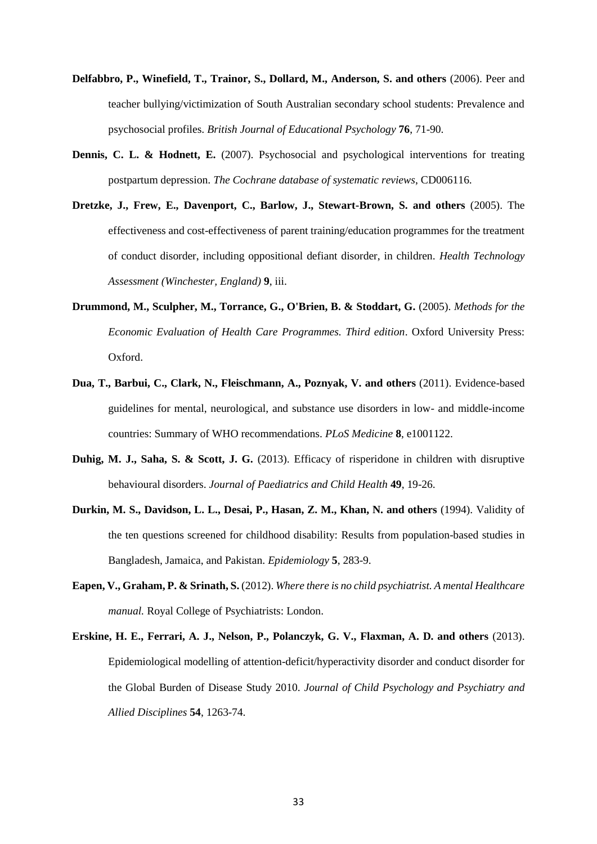- <span id="page-32-3"></span>**Delfabbro, P., Winefield, T., Trainor, S., Dollard, M., Anderson, S. and others** (2006). Peer and teacher bullying/victimization of South Australian secondary school students: Prevalence and psychosocial profiles. *British Journal of Educational Psychology* **76**, 71-90.
- <span id="page-32-5"></span>**Dennis, C. L. & Hodnett, E.** (2007). Psychosocial and psychological interventions for treating postpartum depression. *The Cochrane database of systematic reviews*, CD006116.
- <span id="page-32-8"></span>**Dretzke, J., Frew, E., Davenport, C., Barlow, J., Stewart-Brown, S. and others** (2005). The effectiveness and cost-effectiveness of parent training/education programmes for the treatment of conduct disorder, including oppositional defiant disorder, in children. *Health Technology Assessment (Winchester, England)* **9**, iii.
- <span id="page-32-7"></span>**Drummond, M., Sculpher, M., Torrance, G., O'Brien, B. & Stoddart, G.** (2005). *Methods for the Economic Evaluation of Health Care Programmes. Third edition*. Oxford University Press: Oxford.
- <span id="page-32-1"></span>**Dua, T., Barbui, C., Clark, N., Fleischmann, A., Poznyak, V. and others** (2011). Evidence-based guidelines for mental, neurological, and substance use disorders in low- and middle-income countries: Summary of WHO recommendations. *PLoS Medicine* **8**, e1001122.
- <span id="page-32-6"></span>**Duhig, M. J., Saha, S. & Scott, J. G.** (2013). Efficacy of risperidone in children with disruptive behavioural disorders. *Journal of Paediatrics and Child Health* **49**, 19-26.
- <span id="page-32-4"></span>**Durkin, M. S., Davidson, L. L., Desai, P., Hasan, Z. M., Khan, N. and others** (1994). Validity of the ten questions screened for childhood disability: Results from population-based studies in Bangladesh, Jamaica, and Pakistan. *Epidemiology* **5**, 283-9.
- <span id="page-32-2"></span>**Eapen, V., Graham, P. & Srinath, S.** (2012). *Where there is no child psychiatrist. A mental Healthcare manual.* Royal College of Psychiatrists: London.
- <span id="page-32-0"></span>**Erskine, H. E., Ferrari, A. J., Nelson, P., Polanczyk, G. V., Flaxman, A. D. and others** (2013). Epidemiological modelling of attention-deficit/hyperactivity disorder and conduct disorder for the Global Burden of Disease Study 2010. *Journal of Child Psychology and Psychiatry and Allied Disciplines* **54**, 1263-74.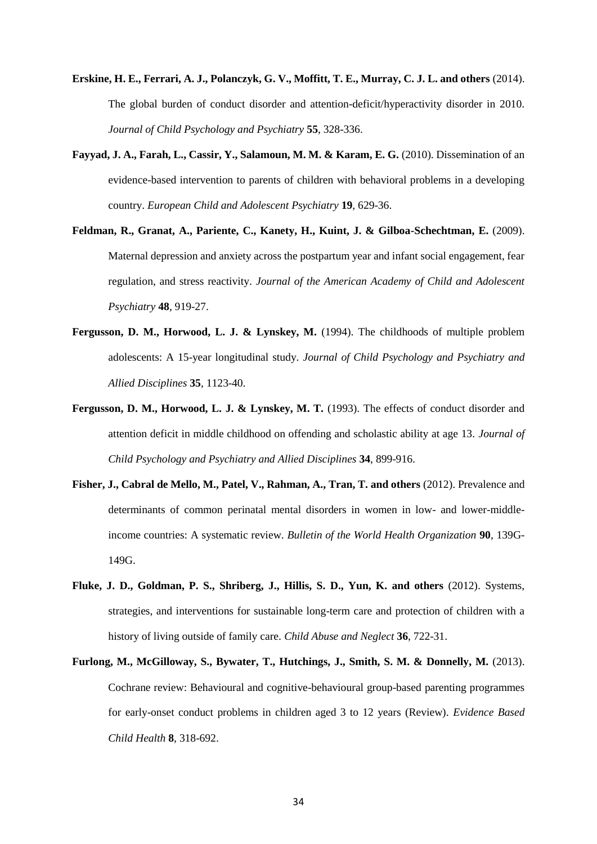- <span id="page-33-1"></span>**Erskine, H. E., Ferrari, A. J., Polanczyk, G. V., Moffitt, T. E., Murray, C. J. L. and others** (2014). The global burden of conduct disorder and attention-deficit/hyperactivity disorder in 2010. *Journal of Child Psychology and Psychiatry* **55**, 328-336.
- <span id="page-33-5"></span>**Fayyad, J. A., Farah, L., Cassir, Y., Salamoun, M. M. & Karam, E. G.** (2010). Dissemination of an evidence-based intervention to parents of children with behavioral problems in a developing country. *European Child and Adolescent Psychiatry* **19**, 629-36.
- <span id="page-33-6"></span>Feldman, R., Granat, A., Pariente, C., Kanety, H., Kuint, J. & Gilboa-Schechtman, E. (2009). Maternal depression and anxiety across the postpartum year and infant social engagement, fear regulation, and stress reactivity. *Journal of the American Academy of Child and Adolescent Psychiatry* **48**, 919-27.
- <span id="page-33-4"></span>**Fergusson, D. M., Horwood, L. J. & Lynskey, M.** (1994). The childhoods of multiple problem adolescents: A 15-year longitudinal study. *Journal of Child Psychology and Psychiatry and Allied Disciplines* **35**, 1123-40.
- <span id="page-33-0"></span>**Fergusson, D. M., Horwood, L. J. & Lynskey, M. T.** (1993). The effects of conduct disorder and attention deficit in middle childhood on offending and scholastic ability at age 13. *Journal of Child Psychology and Psychiatry and Allied Disciplines* **34**, 899-916.
- <span id="page-33-7"></span>**Fisher, J., Cabral de Mello, M., Patel, V., Rahman, A., Tran, T. and others** (2012). Prevalence and determinants of common perinatal mental disorders in women in low- and lower-middleincome countries: A systematic review. *Bulletin of the World Health Organization* **90**, 139G-149G.
- <span id="page-33-2"></span>**Fluke, J. D., Goldman, P. S., Shriberg, J., Hillis, S. D., Yun, K. and others** (2012). Systems, strategies, and interventions for sustainable long-term care and protection of children with a history of living outside of family care. *Child Abuse and Neglect* **36**, 722-31.
- <span id="page-33-3"></span>**Furlong, M., McGilloway, S., Bywater, T., Hutchings, J., Smith, S. M. & Donnelly, M.** (2013). Cochrane review: Behavioural and cognitive-behavioural group-based parenting programmes for early-onset conduct problems in children aged 3 to 12 years (Review). *Evidence Based Child Health* **8**, 318-692.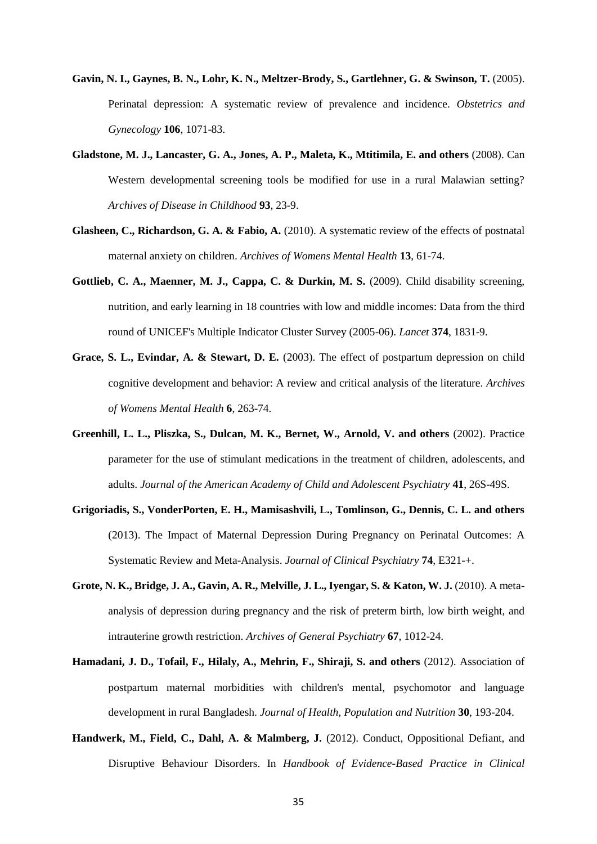- <span id="page-34-7"></span>**Gavin, N. I., Gaynes, B. N., Lohr, K. N., Meltzer-Brody, S., Gartlehner, G. & Swinson, T.** (2005). Perinatal depression: A systematic review of prevalence and incidence. *Obstetrics and Gynecology* **106**, 1071-83.
- <span id="page-34-0"></span>**Gladstone, M. J., Lancaster, G. A., Jones, A. P., Maleta, K., Mtitimila, E. and others** (2008). Can Western developmental screening tools be modified for use in a rural Malawian setting? *Archives of Disease in Childhood* **93**, 23-9.
- <span id="page-34-2"></span>Glasheen, C., Richardson, G. A. & Fabio, A. (2010). A systematic review of the effects of postnatal maternal anxiety on children. *Archives of Womens Mental Health* **13**, 61-74.
- <span id="page-34-1"></span>Gottlieb, C. A., Maenner, M. J., Cappa, C. & Durkin, M. S. (2009). Child disability screening, nutrition, and early learning in 18 countries with low and middle incomes: Data from the third round of UNICEF's Multiple Indicator Cluster Survey (2005-06). *Lancet* **374**, 1831-9.
- <span id="page-34-3"></span>**Grace, S. L., Evindar, A. & Stewart, D. E.** (2003). The effect of postpartum depression on child cognitive development and behavior: A review and critical analysis of the literature. *Archives of Womens Mental Health* **6**, 263-74.
- <span id="page-34-8"></span>**Greenhill, L. L., Pliszka, S., Dulcan, M. K., Bernet, W., Arnold, V. and others** (2002). Practice parameter for the use of stimulant medications in the treatment of children, adolescents, and adults. *Journal of the American Academy of Child and Adolescent Psychiatry* **41**, 26S-49S.
- <span id="page-34-4"></span>**Grigoriadis, S., VonderPorten, E. H., Mamisashvili, L., Tomlinson, G., Dennis, C. L. and others**  (2013). The Impact of Maternal Depression During Pregnancy on Perinatal Outcomes: A Systematic Review and Meta-Analysis. *Journal of Clinical Psychiatry* **74**, E321-+.
- <span id="page-34-5"></span>**Grote, N. K., Bridge, J. A., Gavin, A. R., Melville, J. L., Iyengar, S. & Katon, W. J. (2010).** A metaanalysis of depression during pregnancy and the risk of preterm birth, low birth weight, and intrauterine growth restriction. *Archives of General Psychiatry* **67**, 1012-24.
- <span id="page-34-6"></span>**Hamadani, J. D., Tofail, F., Hilaly, A., Mehrin, F., Shiraji, S. and others** (2012). Association of postpartum maternal morbidities with children's mental, psychomotor and language development in rural Bangladesh. *Journal of Health, Population and Nutrition* **30**, 193-204.
- <span id="page-34-9"></span>**Handwerk, M., Field, C., Dahl, A. & Malmberg, J.** (2012). Conduct, Oppositional Defiant, and Disruptive Behaviour Disorders. In *Handbook of Evidence-Based Practice in Clinical*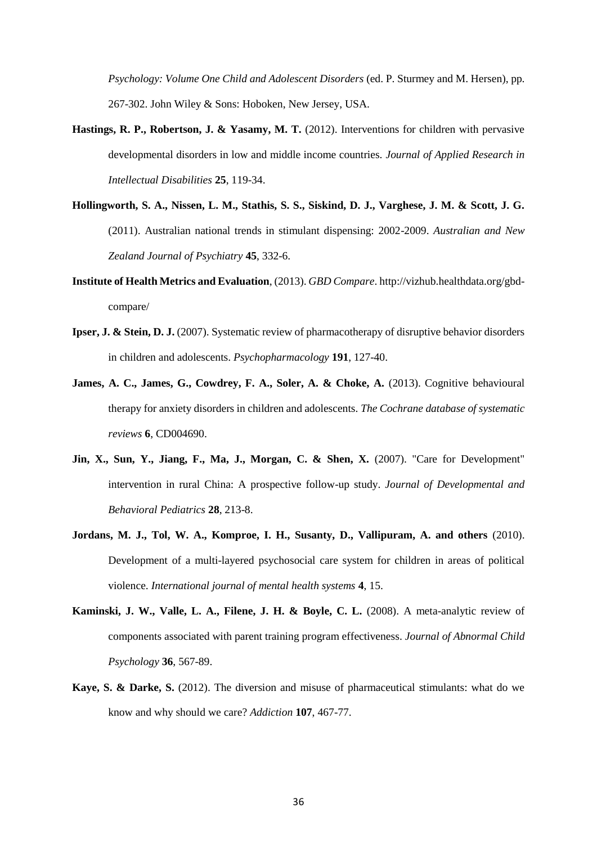*Psychology: Volume One Child and Adolescent Disorders* (ed. P. Sturmey and M. Hersen), pp. 267-302. John Wiley & Sons: Hoboken, New Jersey, USA.

- <span id="page-35-2"></span>**Hastings, R. P., Robertson, J. & Yasamy, M. T.** (2012). Interventions for children with pervasive developmental disorders in low and middle income countries. *Journal of Applied Research in Intellectual Disabilities* **25**, 119-34.
- <span id="page-35-6"></span>**Hollingworth, S. A., Nissen, L. M., Stathis, S. S., Siskind, D. J., Varghese, J. M. & Scott, J. G.**  (2011). Australian national trends in stimulant dispensing: 2002-2009. *Australian and New Zealand Journal of Psychiatry* **45**, 332-6.
- <span id="page-35-0"></span>**Institute of Health Metrics and Evaluation**, (2013). *GBD Compare*. http://vizhub.healthdata.org/gbdcompare/
- <span id="page-35-8"></span>**Ipser, J. & Stein, D. J.** (2007). Systematic review of pharmacotherapy of disruptive behavior disorders in children and adolescents. *Psychopharmacology* **191**, 127-40.
- <span id="page-35-5"></span>**James, A. C., James, G., Cowdrey, F. A., Soler, A. & Choke, A.** (2013). Cognitive behavioural therapy for anxiety disorders in children and adolescents. *The Cochrane database of systematic reviews* **6**, CD004690.
- <span id="page-35-4"></span>**Jin, X., Sun, Y., Jiang, F., Ma, J., Morgan, C. & Shen, X.** (2007). "Care for Development" intervention in rural China: A prospective follow-up study. *Journal of Developmental and Behavioral Pediatrics* **28**, 213-8.
- <span id="page-35-1"></span>**Jordans, M. J., Tol, W. A., Komproe, I. H., Susanty, D., Vallipuram, A. and others** (2010). Development of a multi-layered psychosocial care system for children in areas of political violence. *International journal of mental health systems* **4**, 15.
- <span id="page-35-3"></span>**Kaminski, J. W., Valle, L. A., Filene, J. H. & Boyle, C. L.** (2008). A meta-analytic review of components associated with parent training program effectiveness. *Journal of Abnormal Child Psychology* **36**, 567-89.
- <span id="page-35-7"></span>**Kaye, S. & Darke, S.** (2012). The diversion and misuse of pharmaceutical stimulants: what do we know and why should we care? *Addiction* **107**, 467-77.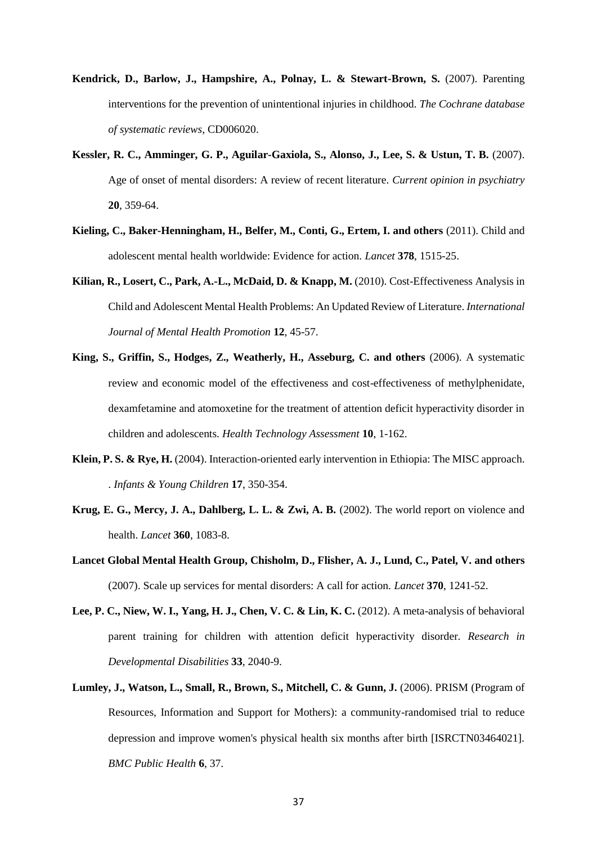- <span id="page-36-4"></span>Kendrick, D., Barlow, J., Hampshire, A., Polnay, L. & Stewart-Brown, S. (2007). Parenting interventions for the prevention of unintentional injuries in childhood. *The Cochrane database of systematic reviews*, CD006020.
- <span id="page-36-0"></span>**Kessler, R. C., Amminger, G. P., Aguilar-Gaxiola, S., Alonso, J., Lee, S. & Ustun, T. B.** (2007). Age of onset of mental disorders: A review of recent literature. *Current opinion in psychiatry* **20**, 359-64.
- <span id="page-36-1"></span>**Kieling, C., Baker-Henningham, H., Belfer, M., Conti, G., Ertem, I. and others** (2011). Child and adolescent mental health worldwide: Evidence for action. *Lancet* **378**, 1515-25.
- <span id="page-36-8"></span>**Kilian, R., Losert, C., Park, A.-L., McDaid, D. & Knapp, M.** (2010). Cost-Effectiveness Analysis in Child and Adolescent Mental Health Problems: An Updated Review of Literature. *International Journal of Mental Health Promotion* **12**, 45-57.
- <span id="page-36-9"></span>**King, S., Griffin, S., Hodges, Z., Weatherly, H., Asseburg, C. and others** (2006). A systematic review and economic model of the effectiveness and cost-effectiveness of methylphenidate, dexamfetamine and atomoxetine for the treatment of attention deficit hyperactivity disorder in children and adolescents. *Health Technology Assessment* **10**, 1-162.
- <span id="page-36-5"></span>**Klein, P. S. & Rye, H.** (2004). Interaction-oriented early intervention in Ethiopia: The MISC approach. . *Infants & Young Children* **17**, 350-354.
- <span id="page-36-3"></span>Krug, E. G., Mercy, J. A., Dahlberg, L. L. & Zwi, A. B. (2002). The world report on violence and health. *Lancet* **360**, 1083-8.
- <span id="page-36-2"></span>**Lancet Global Mental Health Group, Chisholm, D., Flisher, A. J., Lund, C., Patel, V. and others**  (2007). Scale up services for mental disorders: A call for action. *Lancet* **370**, 1241-52.
- <span id="page-36-7"></span>Lee, P. C., Niew, W. I., Yang, H. J., Chen, V. C. & Lin, K. C. (2012). A meta-analysis of behavioral parent training for children with attention deficit hyperactivity disorder. *Research in Developmental Disabilities* **33**, 2040-9.
- <span id="page-36-6"></span>**Lumley, J., Watson, L., Small, R., Brown, S., Mitchell, C. & Gunn, J.** (2006). PRISM (Program of Resources, Information and Support for Mothers): a community-randomised trial to reduce depression and improve women's physical health six months after birth [ISRCTN03464021]. *BMC Public Health* **6**, 37.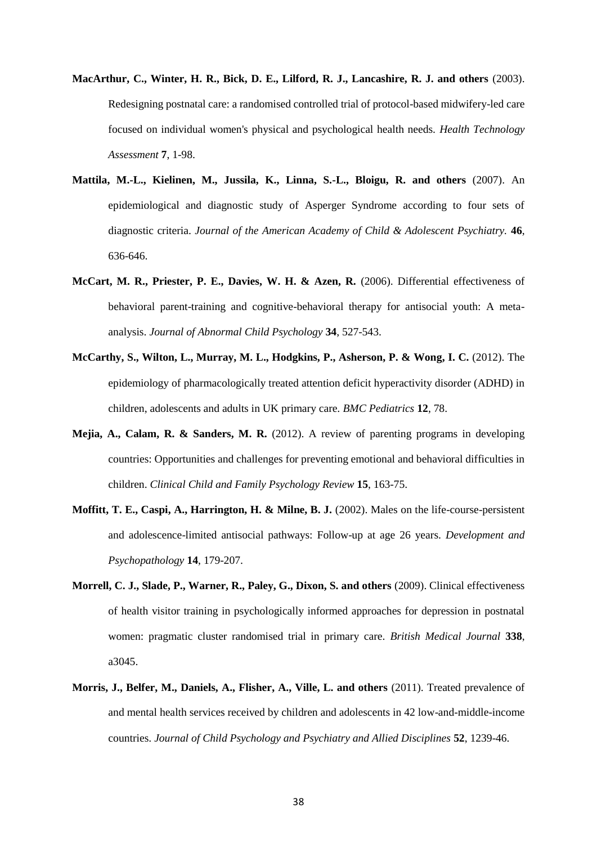- <span id="page-37-3"></span>**MacArthur, C., Winter, H. R., Bick, D. E., Lilford, R. J., Lancashire, R. J. and others** (2003). Redesigning postnatal care: a randomised controlled trial of protocol-based midwifery-led care focused on individual women's physical and psychological health needs. *Health Technology Assessment* **7**, 1-98.
- <span id="page-37-7"></span>**Mattila, M.-L., Kielinen, M., Jussila, K., Linna, S.-L., Bloigu, R. and others** (2007). An epidemiological and diagnostic study of Asperger Syndrome according to four sets of diagnostic criteria. *Journal of the American Academy of Child & Adolescent Psychiatry.* **46**, 636-646.
- <span id="page-37-6"></span>**McCart, M. R., Priester, P. E., Davies, W. H. & Azen, R.** (2006). Differential effectiveness of behavioral parent-training and cognitive-behavioral therapy for antisocial youth: A metaanalysis. *Journal of Abnormal Child Psychology* **34**, 527-543.
- <span id="page-37-5"></span>**McCarthy, S., Wilton, L., Murray, M. L., Hodgkins, P., Asherson, P. & Wong, I. C.** (2012). The epidemiology of pharmacologically treated attention deficit hyperactivity disorder (ADHD) in children, adolescents and adults in UK primary care. *BMC Pediatrics* **12**, 78.
- <span id="page-37-2"></span>**Mejia, A., Calam, R. & Sanders, M. R.** (2012). A review of parenting programs in developing countries: Opportunities and challenges for preventing emotional and behavioral difficulties in children. *Clinical Child and Family Psychology Review* **15**, 163-75.
- <span id="page-37-1"></span>**Moffitt, T. E., Caspi, A., Harrington, H. & Milne, B. J.** (2002). Males on the life-course-persistent and adolescence-limited antisocial pathways: Follow-up at age 26 years. *Development and Psychopathology* **14**, 179-207.
- <span id="page-37-4"></span>**Morrell, C. J., Slade, P., Warner, R., Paley, G., Dixon, S. and others** (2009). Clinical effectiveness of health visitor training in psychologically informed approaches for depression in postnatal women: pragmatic cluster randomised trial in primary care. *British Medical Journal* **338**, a3045.
- <span id="page-37-0"></span>**Morris, J., Belfer, M., Daniels, A., Flisher, A., Ville, L. and others** (2011). Treated prevalence of and mental health services received by children and adolescents in 42 low-and-middle-income countries. *Journal of Child Psychology and Psychiatry and Allied Disciplines* **52**, 1239-46.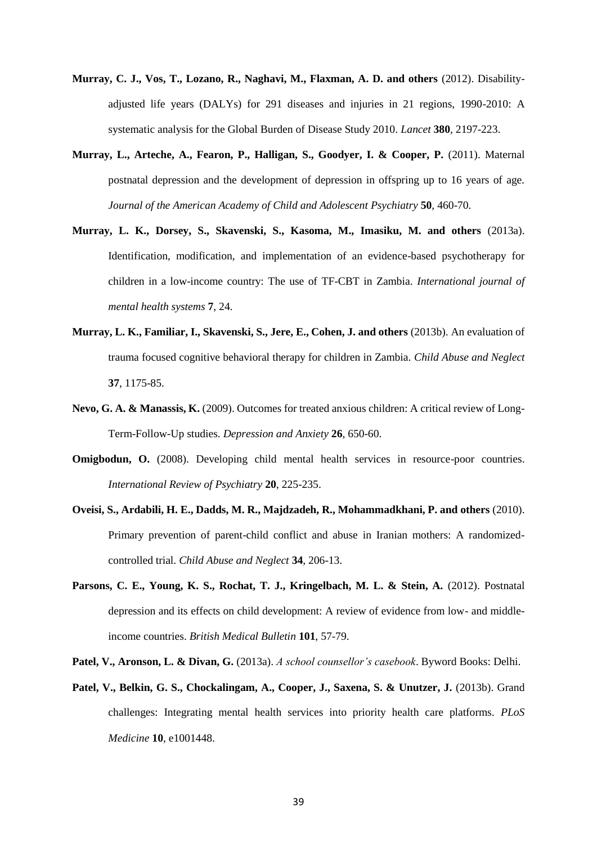- <span id="page-38-1"></span>**Murray, C. J., Vos, T., Lozano, R., Naghavi, M., Flaxman, A. D. and others** (2012). Disabilityadjusted life years (DALYs) for 291 diseases and injuries in 21 regions, 1990-2010: A systematic analysis for the Global Burden of Disease Study 2010. *Lancet* **380**, 2197-223.
- <span id="page-38-5"></span>**Murray, L., Arteche, A., Fearon, P., Halligan, S., Goodyer, I. & Cooper, P.** (2011). Maternal postnatal depression and the development of depression in offspring up to 16 years of age. *Journal of the American Academy of Child and Adolescent Psychiatry* **50**, 460-70.
- <span id="page-38-8"></span>**Murray, L. K., Dorsey, S., Skavenski, S., Kasoma, M., Imasiku, M. and others** (2013a). Identification, modification, and implementation of an evidence-based psychotherapy for children in a low-income country: The use of TF-CBT in Zambia. *International journal of mental health systems* **7**, 24.
- <span id="page-38-9"></span>**Murray, L. K., Familiar, I., Skavenski, S., Jere, E., Cohen, J. and others** (2013b). An evaluation of trauma focused cognitive behavioral therapy for children in Zambia. *Child Abuse and Neglect* **37**, 1175-85.
- <span id="page-38-0"></span>**Nevo, G. A. & Manassis, K.** (2009). Outcomes for treated anxious children: A critical review of Long-Term-Follow-Up studies. *Depression and Anxiety* **26**, 650-60.
- <span id="page-38-3"></span>**Omigbodun, O.** (2008). Developing child mental health services in resource-poor countries. *International Review of Psychiatry* **20**, 225-235.
- <span id="page-38-4"></span>**Oveisi, S., Ardabili, H. E., Dadds, M. R., Majdzadeh, R., Mohammadkhani, P. and others** (2010). Primary prevention of parent-child conflict and abuse in Iranian mothers: A randomizedcontrolled trial. *Child Abuse and Neglect* **34**, 206-13.
- <span id="page-38-6"></span>Parsons, C. E., Young, K. S., Rochat, T. J., Kringelbach, M. L. & Stein, A. (2012). Postnatal depression and its effects on child development: A review of evidence from low- and middleincome countries. *British Medical Bulletin* **101**, 57-79.
- <span id="page-38-2"></span>**Patel, V., Aronson, L. & Divan, G.** (2013a). *A school counsellor's casebook*. Byword Books: Delhi.
- <span id="page-38-7"></span>Patel, V., Belkin, G. S., Chockalingam, A., Cooper, J., Saxena, S. & Unutzer, J. (2013b). Grand challenges: Integrating mental health services into priority health care platforms. *PLoS Medicine* **10**, e1001448.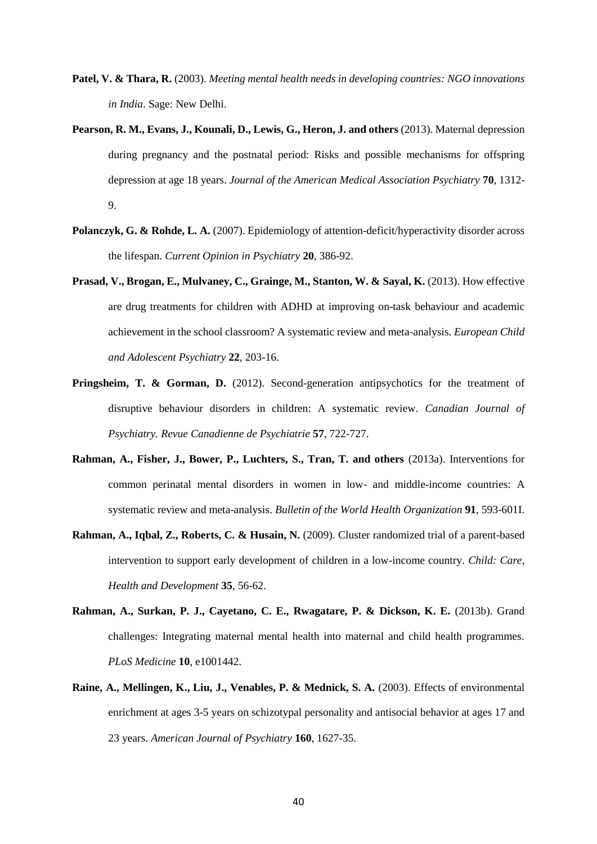- <span id="page-39-1"></span>**Patel, V. & Thara, R.** (2003). *Meeting mental health needs in developing countries: NGO innovations in India*. Sage: New Delhi.
- <span id="page-39-4"></span>**Pearson, R. M., Evans, J., Kounali, D., Lewis, G., Heron, J. and others** (2013). Maternal depression during pregnancy and the postnatal period: Risks and possible mechanisms for offspring depression at age 18 years. *Journal of the American Medical Association Psychiatry* **70**, 1312- 9.
- <span id="page-39-0"></span>Polanczyk, G. & Rohde, L. A. (2007). Epidemiology of attention-deficit/hyperactivity disorder across the lifespan. *Current Opinion in Psychiatry* **20**, 386-92.
- <span id="page-39-7"></span>**Prasad, V., Brogan, E., Mulvaney, C., Grainge, M., Stanton, W. & Sayal, K.** (2013). How effective are drug treatments for children with ADHD at improving on-task behaviour and academic achievement in the school classroom? A systematic review and meta-analysis. *European Child and Adolescent Psychiatry* **22**, 203-16.
- <span id="page-39-8"></span>**Pringsheim, T. & Gorman, D.** (2012). Second-generation antipsychotics for the treatment of disruptive behaviour disorders in children: A systematic review. *Canadian Journal of Psychiatry. Revue Canadienne de Psychiatrie* **57**, 722-727.
- <span id="page-39-6"></span>**Rahman, A., Fisher, J., Bower, P., Luchters, S., Tran, T. and others** (2013a). Interventions for common perinatal mental disorders in women in low- and middle-income countries: A systematic review and meta-analysis. *Bulletin of the World Health Organization* **91**, 593-601I.
- <span id="page-39-3"></span>**Rahman, A., Iqbal, Z., Roberts, C. & Husain, N.** (2009). Cluster randomized trial of a parent-based intervention to support early development of children in a low-income country. *Child: Care, Health and Development* **35**, 56-62.
- <span id="page-39-5"></span>Rahman, A., Surkan, P. J., Cayetano, C. E., Rwagatare, P. & Dickson, K. E. (2013b). Grand challenges: Integrating maternal mental health into maternal and child health programmes. *PLoS Medicine* **10**, e1001442.
- <span id="page-39-2"></span>**Raine, A., Mellingen, K., Liu, J., Venables, P. & Mednick, S. A.** (2003). Effects of environmental enrichment at ages 3-5 years on schizotypal personality and antisocial behavior at ages 17 and 23 years. *American Journal of Psychiatry* **160**, 1627-35.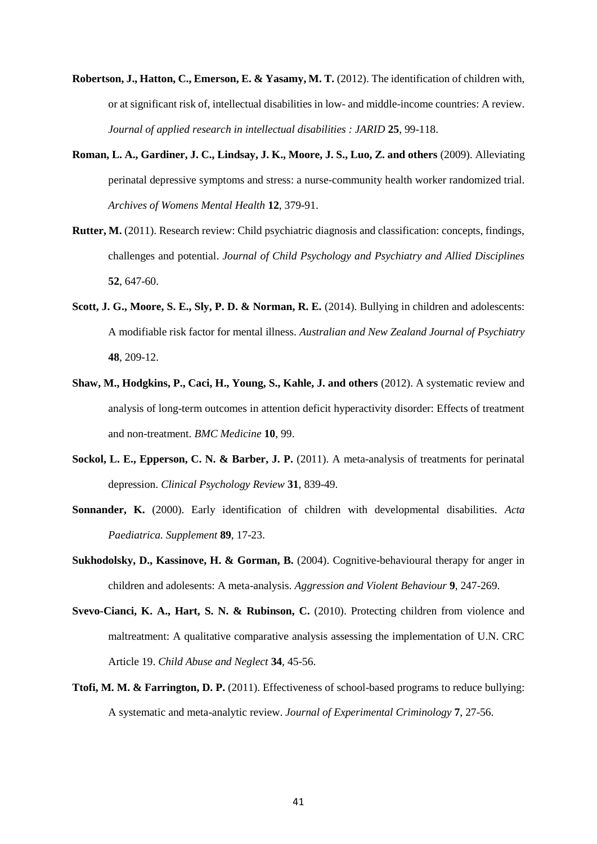- <span id="page-40-6"></span>**Robertson, J., Hatton, C., Emerson, E. & Yasamy, M. T. (2012).** The identification of children with, or at significant risk of, intellectual disabilities in low- and middle-income countries: A review. *Journal of applied research in intellectual disabilities : JARID* **25**, 99-118.
- <span id="page-40-8"></span>**Roman, L. A., Gardiner, J. C., Lindsay, J. K., Moore, J. S., Luo, Z. and others** (2009). Alleviating perinatal depressive symptoms and stress: a nurse-community health worker randomized trial. *Archives of Womens Mental Health* **12**, 379-91.
- <span id="page-40-1"></span>**Rutter, M.** (2011). Research review: Child psychiatric diagnosis and classification: concepts, findings, challenges and potential. *Journal of Child Psychology and Psychiatry and Allied Disciplines* **52**, 647-60.
- <span id="page-40-2"></span>**Scott, J. G., Moore, S. E., Sly, P. D. & Norman, R. E.** (2014). Bullying in children and adolescents: A modifiable risk factor for mental illness. *Australian and New Zealand Journal of Psychiatry* **48**, 209-12.
- <span id="page-40-0"></span>**Shaw, M., Hodgkins, P., Caci, H., Young, S., Kahle, J. and others** (2012). A systematic review and analysis of long-term outcomes in attention deficit hyperactivity disorder: Effects of treatment and non-treatment. *BMC Medicine* **10**, 99.
- <span id="page-40-7"></span>**Sockol, L. E., Epperson, C. N. & Barber, J. P.** (2011). A meta-analysis of treatments for perinatal depression. *Clinical Psychology Review* **31**, 839-49.
- <span id="page-40-5"></span>**Sonnander, K.** (2000). Early identification of children with developmental disabilities. *Acta Paediatrica. Supplement* **89**, 17-23.
- <span id="page-40-9"></span>**Sukhodolsky, D., Kassinove, H. & Gorman, B.** (2004). Cognitive-behavioural therapy for anger in children and adolesents: A meta-analysis. *Aggression and Violent Behaviour* **9**, 247-269.
- <span id="page-40-3"></span>**Svevo-Cianci, K. A., Hart, S. N. & Rubinson, C.** (2010). Protecting children from violence and maltreatment: A qualitative comparative analysis assessing the implementation of U.N. CRC Article 19. *Child Abuse and Neglect* **34**, 45-56.
- <span id="page-40-4"></span>**Ttofi, M. M. & Farrington, D. P.** (2011). Effectiveness of school-based programs to reduce bullying: A systematic and meta-analytic review. *Journal of Experimental Criminology* **7**, 27-56.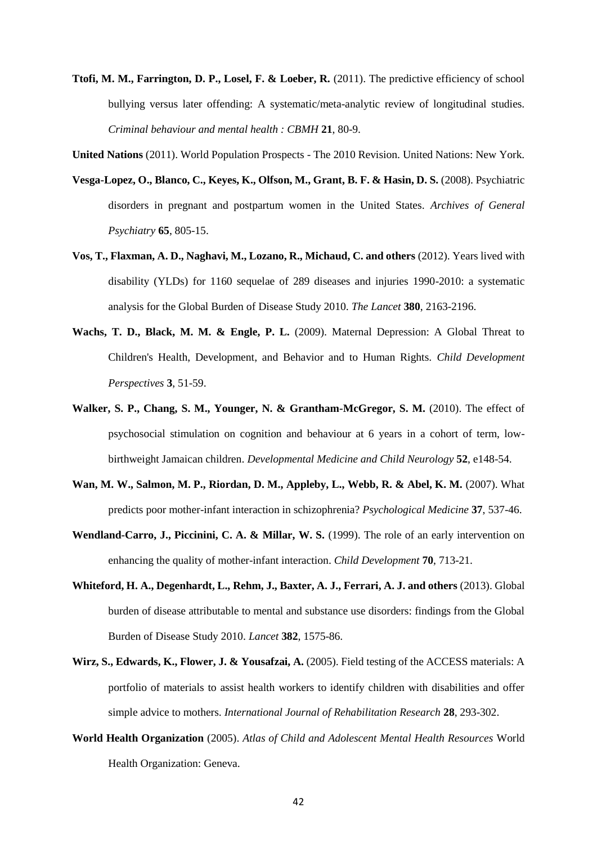- <span id="page-41-5"></span>**Ttofi, M. M., Farrington, D. P., Losel, F. & Loeber, R.** (2011). The predictive efficiency of school bullying versus later offending: A systematic/meta-analytic review of longitudinal studies. *Criminal behaviour and mental health : CBMH* **21**, 80-9.
- <span id="page-41-2"></span>**United Nations** (2011). World Population Prospects - The 2010 Revision. United Nations: New York.
- <span id="page-41-10"></span>**Vesga-Lopez, O., Blanco, C., Keyes, K., Olfson, M., Grant, B. F. & Hasin, D. S.** (2008). Psychiatric disorders in pregnant and postpartum women in the United States. *Archives of General Psychiatry* **65**, 805-15.
- <span id="page-41-1"></span>**Vos, T., Flaxman, A. D., Naghavi, M., Lozano, R., Michaud, C. and others** (2012). Years lived with disability (YLDs) for 1160 sequelae of 289 diseases and injuries 1990-2010: a systematic analysis for the Global Burden of Disease Study 2010. *The Lancet* **380**, 2163-2196.
- <span id="page-41-8"></span>**Wachs, T. D., Black, M. M. & Engle, P. L.** (2009). Maternal Depression: A Global Threat to Children's Health, Development, and Behavior and to Human Rights. *Child Development Perspectives* **3**, 51-59.
- <span id="page-41-4"></span>**Walker, S. P., Chang, S. M., Younger, N. & Grantham-McGregor, S. M.** (2010). The effect of psychosocial stimulation on cognition and behaviour at 6 years in a cohort of term, lowbirthweight Jamaican children. *Developmental Medicine and Child Neurology* **52**, e148-54.
- <span id="page-41-9"></span>Wan, M. W., Salmon, M. P., Riordan, D. M., Appleby, L., Webb, R. & Abel, K. M. (2007). What predicts poor mother-infant interaction in schizophrenia? *Psychological Medicine* **37**, 537-46.
- <span id="page-41-7"></span>**Wendland-Carro, J., Piccinini, C. A. & Millar, W. S.** (1999). The role of an early intervention on enhancing the quality of mother-infant interaction. *Child Development* **70**, 713-21.
- <span id="page-41-0"></span>**Whiteford, H. A., Degenhardt, L., Rehm, J., Baxter, A. J., Ferrari, A. J. and others** (2013). Global burden of disease attributable to mental and substance use disorders: findings from the Global Burden of Disease Study 2010. *Lancet* **382**, 1575-86.
- <span id="page-41-6"></span>**Wirz, S., Edwards, K., Flower, J. & Yousafzai, A.** (2005). Field testing of the ACCESS materials: A portfolio of materials to assist health workers to identify children with disabilities and offer simple advice to mothers. *International Journal of Rehabilitation Research* **28**, 293-302.
- <span id="page-41-3"></span>**World Health Organization** (2005). *Atlas of Child and Adolescent Mental Health Resources* World Health Organization: Geneva.